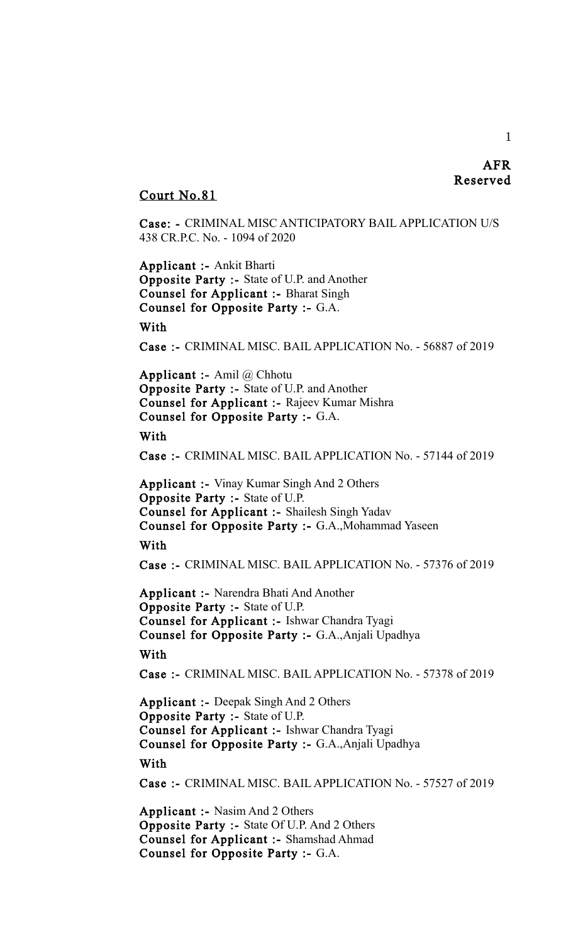# AFR Reserved

# Court No.81

Case: - CRIMINAL MISC ANTICIPATORY BAIL APPLICATION U/S 438 CR.P.C. No. - 1094 of 2020

Applicant :- Ankit Bharti Opposite Party :- State of U.P. and Another Counsel for Applicant :- Bharat Singh Counsel for Opposite Party :- G.A.

#### With

Case :- CRIMINAL MISC. BAIL APPLICATION No. - 56887 of 2019

Applicant :- Amil @ Chhotu Opposite Party :- State of U.P. and Another Counsel for Applicant :- Rajeev Kumar Mishra Counsel for Opposite Party :- G.A.

# With

Case :- CRIMINAL MISC. BAIL APPLICATION No. - 57144 of 2019

Applicant :- Vinay Kumar Singh And 2 Others Opposite Party :- State of U.P. Counsel for Applicant :- Shailesh Singh Yadav Counsel for Opposite Party :- G.A.,Mohammad Yaseen

# With

Case :- CRIMINAL MISC. BAIL APPLICATION No. - 57376 of 2019

Applicant :- Narendra Bhati And Another Opposite Party :- State of U.P. Counsel for Applicant :- Ishwar Chandra Tyagi Counsel for Opposite Party :- G.A.,Anjali Upadhya

#### With

Case :- CRIMINAL MISC. BAIL APPLICATION No. - 57378 of 2019

Applicant :- Deepak Singh And 2 Others Opposite Party :- State of U.P. Counsel for Applicant :- Ishwar Chandra Tyagi Counsel for Opposite Party :- G.A.,Anjali Upadhya

With

Case :- CRIMINAL MISC. BAIL APPLICATION No. - 57527 of 2019

Applicant :- Nasim And 2 Others Opposite Party :- State Of U.P. And 2 Others Counsel for Applicant :- Shamshad Ahmad Counsel for Opposite Party :- G.A.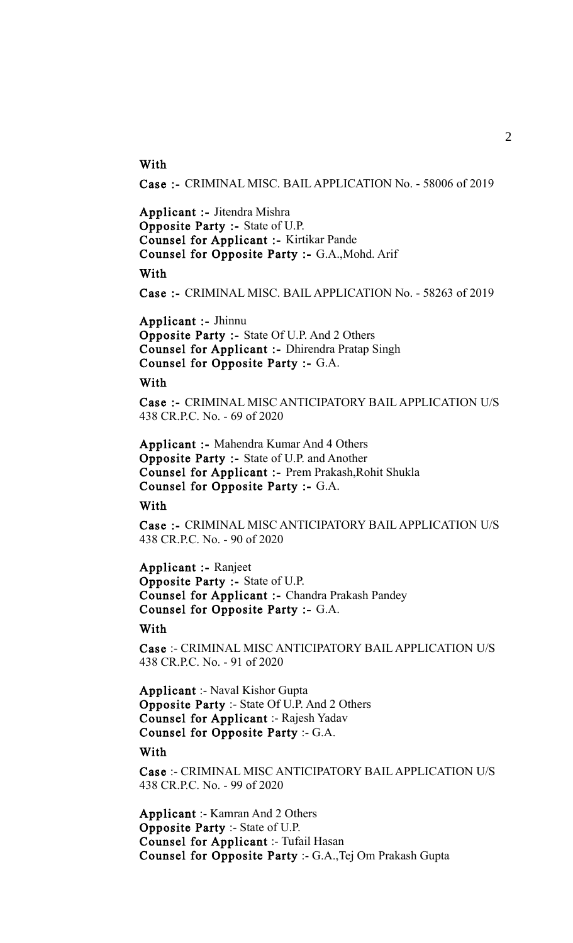# **With**

Case :- CRIMINAL MISC. BAIL APPLICATION No. - 58006 of 2019

Applicant :- Jitendra Mishra Opposite Party :- State of U.P. Counsel for Applicant :- Kirtikar Pande Counsel for Opposite Party :- G.A.,Mohd. Arif

#### With

Case :- CRIMINAL MISC. BAIL APPLICATION No. - 58263 of 2019

Applicant :- Jhinnu Opposite Party :- State Of U.P. And 2 Others Counsel for Applicant :- Dhirendra Pratap Singh Counsel for Opposite Party :- G.A.

# **With**

Case :- CRIMINAL MISC ANTICIPATORY BAIL APPLICATION U/S 438 CR.P.C. No. - 69 of 2020

Applicant :- Mahendra Kumar And 4 Others Opposite Party :- State of U.P. and Another Counsel for Applicant :- Prem Prakash,Rohit Shukla Counsel for Opposite Party :- G.A.

With

Case :- CRIMINAL MISC ANTICIPATORY BAIL APPLICATION U/S 438 CR.P.C. No. - 90 of 2020

Applicant :- Ranjeet Opposite Party :- State of U.P. Counsel for Applicant :- Chandra Prakash Pandey Counsel for Opposite Party :- G.A.

#### With

Case :- CRIMINAL MISC ANTICIPATORY BAIL APPLICATION U/S 438 CR.P.C. No. - 91 of 2020

Applicant :- Naval Kishor Gupta Opposite Party :- State Of U.P. And 2 Others Counsel for Applicant :- Rajesh Yadav Counsel for Opposite Party :- G.A.

#### With

Case :- CRIMINAL MISC ANTICIPATORY BAIL APPLICATION U/S 438 CR.P.C. No. - 99 of 2020

Applicant :- Kamran And 2 Others Opposite Party :- State of U.P. Counsel for Applicant :- Tufail Hasan Counsel for Opposite Party :- G.A.,Tej Om Prakash Gupta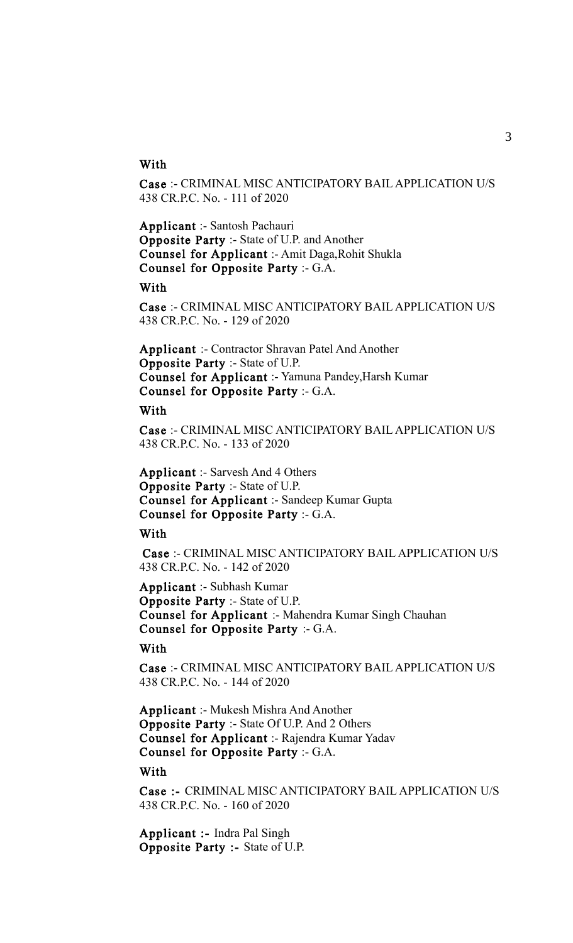# **With**

Case :- CRIMINAL MISC ANTICIPATORY BAIL APPLICATION U/S 438 CR.P.C. No. - 111 of 2020

Applicant :- Santosh Pachauri Opposite Party :- State of U.P. and Another Counsel for Applicant :- Amit Daga,Rohit Shukla Counsel for Opposite Party :- G.A.

With

Case :- CRIMINAL MISC ANTICIPATORY BAIL APPLICATION U/S 438 CR.P.C. No. - 129 of 2020

Applicant :- Contractor Shravan Patel And Another Opposite Party :- State of U.P. Counsel for Applicant :- Yamuna Pandey,Harsh Kumar Counsel for Opposite Party :- G.A.

# **With**

Case :- CRIMINAL MISC ANTICIPATORY BAIL APPLICATION U/S 438 CR.P.C. No. - 133 of 2020

Applicant :- Sarvesh And 4 Others Opposite Party :- State of U.P. Counsel for Applicant :- Sandeep Kumar Gupta Counsel for Opposite Party :- G.A.

# **With**

Case :- CRIMINAL MISC ANTICIPATORY BAIL APPLICATION U/S 438 CR.P.C. No. - 142 of 2020

Applicant :- Subhash Kumar Opposite Party :- State of U.P. Counsel for Applicant :- Mahendra Kumar Singh Chauhan Counsel for Opposite Party :- G.A.

# **With**

Case :- CRIMINAL MISC ANTICIPATORY BAIL APPLICATION U/S 438 CR.P.C. No. - 144 of 2020

Applicant :- Mukesh Mishra And Another Opposite Party :- State Of U.P. And 2 Others Counsel for Applicant :- Rajendra Kumar Yadav Counsel for Opposite Party :- G.A.

#### With

Case :- CRIMINAL MISC ANTICIPATORY BAIL APPLICATION U/S 438 CR.P.C. No. - 160 of 2020

Applicant :- Indra Pal Singh Opposite Party :- State of U.P.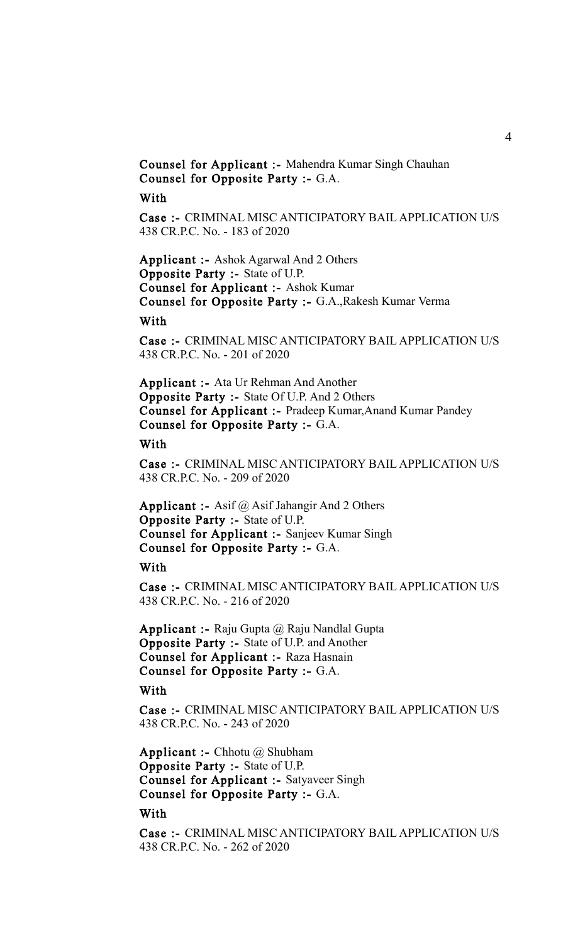Counsel for Applicant :- Mahendra Kumar Singh Chauhan Counsel for Opposite Party :- G.A.

# With

Case :- CRIMINAL MISC ANTICIPATORY BAIL APPLICATION U/S 438 CR.P.C. No. - 183 of 2020

Applicant :- Ashok Agarwal And 2 Others Opposite Party :- State of U.P. Counsel for Applicant :- Ashok Kumar Counsel for Opposite Party :- G.A.,Rakesh Kumar Verma

#### With

Case :- CRIMINAL MISC ANTICIPATORY BAIL APPLICATION U/S 438 CR.P.C. No. - 201 of 2020

Applicant :- Ata Ur Rehman And Another Opposite Party :- State Of U.P. And 2 Others Counsel for Applicant :- Pradeep Kumar,Anand Kumar Pandey Counsel for Opposite Party :- G.A.

#### With

Case :- CRIMINAL MISC ANTICIPATORY BAIL APPLICATION U/S 438 CR.P.C. No. - 209 of 2020

Applicant :- Asif @ Asif Jahangir And 2 Others Opposite Party :- State of U.P. Counsel for Applicant :- Sanjeev Kumar Singh Counsel for Opposite Party :- G.A.

#### With

Case :- CRIMINAL MISC ANTICIPATORY BAIL APPLICATION U/S 438 CR.P.C. No. - 216 of 2020

Applicant :- Raju Gupta @ Raju Nandlal Gupta Opposite Party :- State of U.P. and Another Counsel for Applicant :- Raza Hasnain Counsel for Opposite Party :- G.A.

# With

Case :- CRIMINAL MISC ANTICIPATORY BAIL APPLICATION U/S 438 CR.P.C. No. - 243 of 2020

**Applicant :- Chhotu @ Shubham** Opposite Party :- State of U.P. Counsel for Applicant :- Satyaveer Singh Counsel for Opposite Party :- G.A.

# With

Case :- CRIMINAL MISC ANTICIPATORY BAIL APPLICATION U/S 438 CR.P.C. No. - 262 of 2020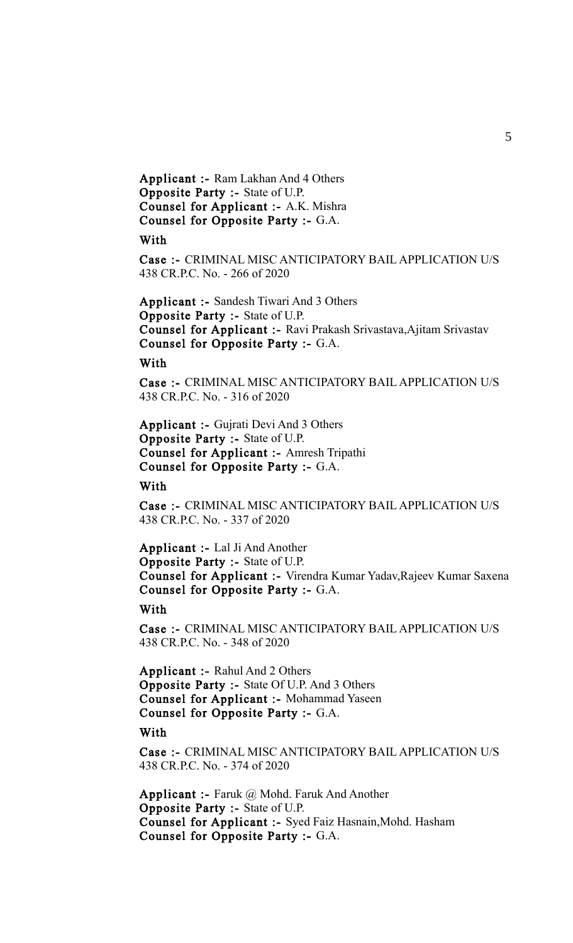Applicant :- Ram Lakhan And 4 Others Opposite Party :- State of U.P. Counsel for Applicant :- A.K. Mishra Counsel for Opposite Party :- G.A.

## With

Case :- CRIMINAL MISC ANTICIPATORY BAIL APPLICATION U/S 438 CR.P.C. No. - 266 of 2020

Applicant :- Sandesh Tiwari And 3 Others Opposite Party :- State of U.P. Counsel for Applicant :- Ravi Prakash Srivastava,Ajitam Srivastav Counsel for Opposite Party :- G.A.

# With

Case :- CRIMINAL MISC ANTICIPATORY BAIL APPLICATION U/S 438 CR.P.C. No. - 316 of 2020

Applicant :- Gujrati Devi And 3 Others Opposite Party :- State of U.P. Counsel for Applicant :- Amresh Tripathi Counsel for Opposite Party :- G.A.

With

Case :- CRIMINAL MISC ANTICIPATORY BAIL APPLICATION U/S 438 CR.P.C. No. - 337 of 2020

Applicant :- Lal Ji And Another Opposite Party :- State of U.P. Counsel for Applicant :- Virendra Kumar Yadav,Rajeev Kumar Saxena Counsel for Opposite Party :- G.A.

# With

Case :- CRIMINAL MISC ANTICIPATORY BAIL APPLICATION U/S 438 CR.P.C. No. - 348 of 2020

Applicant :- Rahul And 2 Others Opposite Party :- State Of U.P. And 3 Others Counsel for Applicant :- Mohammad Yaseen Counsel for Opposite Party :- G.A.

#### With

Case :- CRIMINAL MISC ANTICIPATORY BAIL APPLICATION U/S 438 CR.P.C. No. - 374 of 2020

Applicant :- Faruk @ Mohd. Faruk And Another Opposite Party :- State of U.P. Counsel for Applicant :- Syed Faiz Hasnain,Mohd. Hasham Counsel for Opposite Party :- G.A.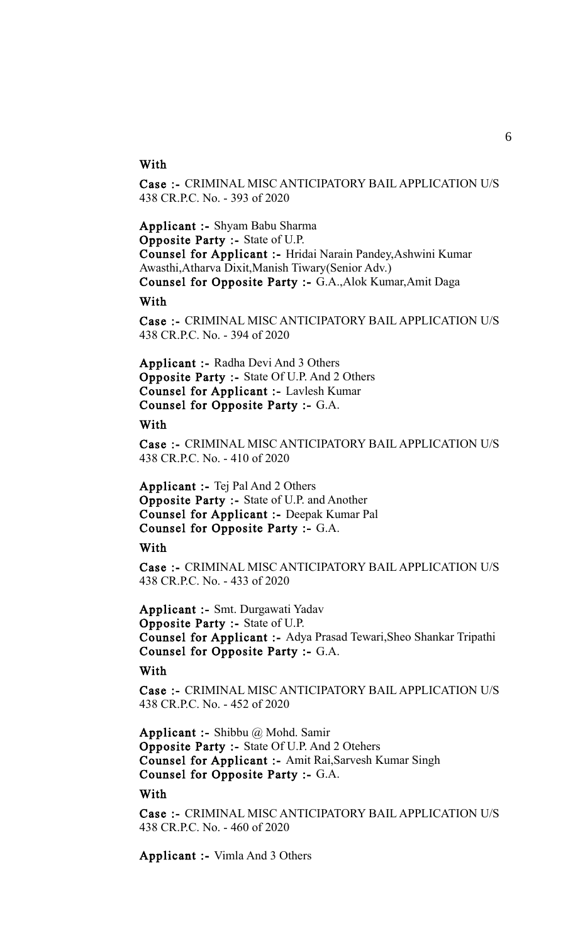# **With**

Case :- CRIMINAL MISC ANTICIPATORY BAIL APPLICATION U/S 438 CR.P.C. No. - 393 of 2020

Applicant :- Shyam Babu Sharma Opposite Party :- State of U.P. Counsel for Applicant :- Hridai Narain Pandey,Ashwini Kumar Awasthi,Atharva Dixit,Manish Tiwary(Senior Adv.) Counsel for Opposite Party :- G.A.,Alok Kumar,Amit Daga

#### With

Case :- CRIMINAL MISC ANTICIPATORY BAIL APPLICATION U/S 438 CR.P.C. No. - 394 of 2020

Applicant :- Radha Devi And 3 Others Opposite Party :- State Of U.P. And 2 Others Counsel for Applicant :- Lavlesh Kumar Counsel for Opposite Party :- G.A.

#### With

Case :- CRIMINAL MISC ANTICIPATORY BAIL APPLICATION U/S 438 CR.P.C. No. - 410 of 2020

Applicant :- Tej Pal And 2 Others Opposite Party :- State of U.P. and Another Counsel for Applicant :- Deepak Kumar Pal Counsel for Opposite Party :- G.A.

**With** 

Case :- CRIMINAL MISC ANTICIPATORY BAIL APPLICATION U/S 438 CR.P.C. No. - 433 of 2020

Applicant :- Smt. Durgawati Yadav Opposite Party :- State of U.P. Counsel for Applicant :- Adya Prasad Tewari,Sheo Shankar Tripathi Counsel for Opposite Party :- G.A.

With

Case :- CRIMINAL MISC ANTICIPATORY BAIL APPLICATION U/S 438 CR.P.C. No. - 452 of 2020

Applicant :- Shibbu @ Mohd. Samir Opposite Party :- State Of U.P. And 2 Otehers Counsel for Applicant :- Amit Rai,Sarvesh Kumar Singh Counsel for Opposite Party :- G.A.

With

Case :- CRIMINAL MISC ANTICIPATORY BAIL APPLICATION U/S 438 CR.P.C. No. - 460 of 2020

Applicant :- Vimla And 3 Others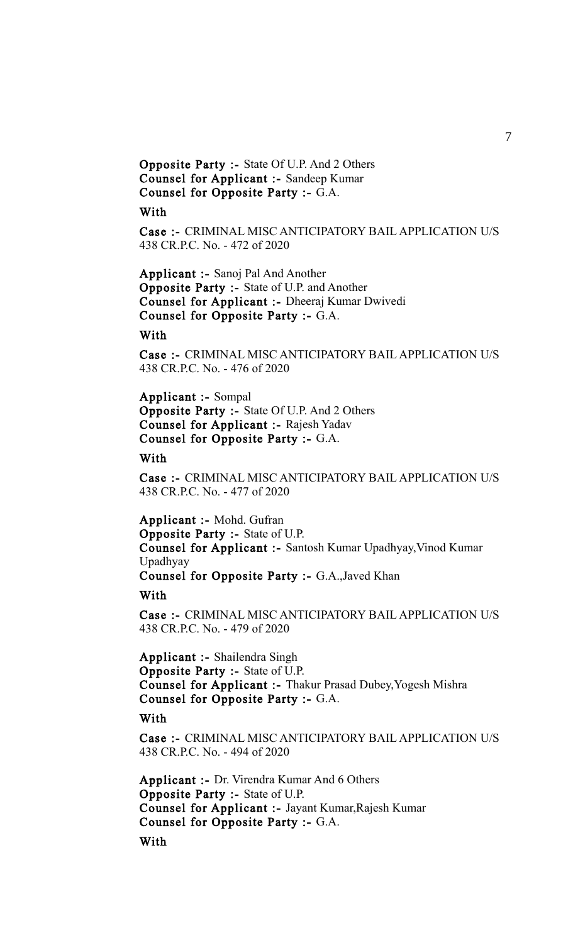Opposite Party :- State Of U.P. And 2 Others Counsel for Applicant :- Sandeep Kumar Counsel for Opposite Party :- G.A.

# With

Case :- CRIMINAL MISC ANTICIPATORY BAIL APPLICATION U/S 438 CR.P.C. No. - 472 of 2020

Applicant :- Sanoj Pal And Another Opposite Party :- State of U.P. and Another Counsel for Applicant :- Dheeraj Kumar Dwivedi Counsel for Opposite Party :- G.A.

# With

Case :- CRIMINAL MISC ANTICIPATORY BAIL APPLICATION U/S 438 CR.P.C. No. - 476 of 2020

Applicant :- Sompal Opposite Party :- State Of U.P. And 2 Others Counsel for Applicant :- Rajesh Yadav Counsel for Opposite Party :- G.A.

#### With

Case :- CRIMINAL MISC ANTICIPATORY BAIL APPLICATION U/S 438 CR.P.C. No. - 477 of 2020

Applicant :- Mohd. Gufran Opposite Party :- State of U.P. Counsel for Applicant :- Santosh Kumar Upadhyay,Vinod Kumar Upadhyay Counsel for Opposite Party :- G.A.,Javed Khan

#### With

Case :- CRIMINAL MISC ANTICIPATORY BAIL APPLICATION U/S 438 CR.P.C. No. - 479 of 2020

Applicant :- Shailendra Singh Opposite Party :- State of U.P. Counsel for Applicant :- Thakur Prasad Dubey,Yogesh Mishra Counsel for Opposite Party :- G.A.

# With

Case :- CRIMINAL MISC ANTICIPATORY BAIL APPLICATION U/S 438 CR.P.C. No. - 494 of 2020

Applicant :- Dr. Virendra Kumar And 6 Others Opposite Party :- State of U.P. Counsel for Applicant :- Jayant Kumar,Rajesh Kumar Counsel for Opposite Party :- G.A. With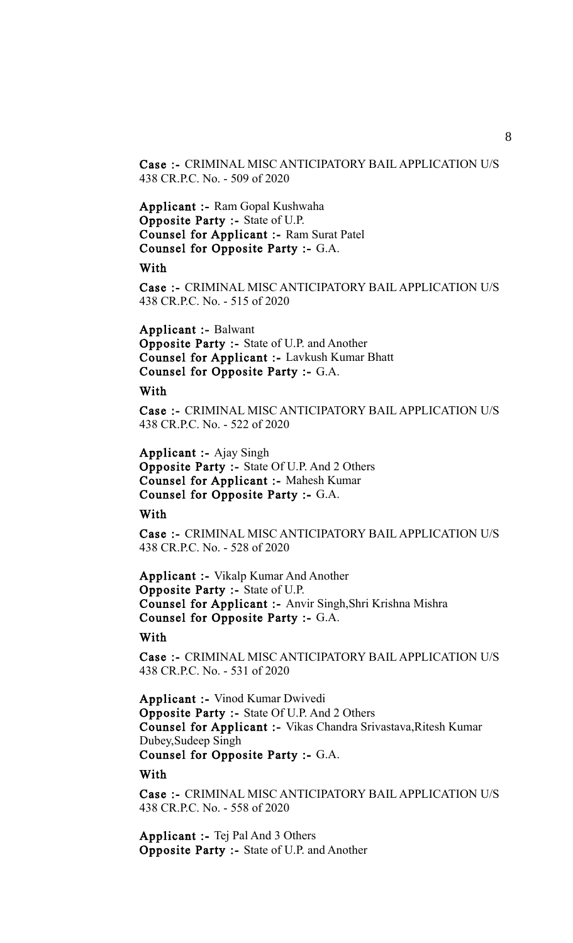Case :- CRIMINAL MISC ANTICIPATORY BAIL APPLICATION U/S 438 CR.P.C. No. - 509 of 2020

Applicant :- Ram Gopal Kushwaha Opposite Party :- State of U.P. Counsel for Applicant :- Ram Surat Patel Counsel for Opposite Party :- G.A.

With

Case :- CRIMINAL MISC ANTICIPATORY BAIL APPLICATION U/S 438 CR.P.C. No. - 515 of 2020

Applicant :- Balwant Opposite Party :- State of U.P. and Another Counsel for Applicant :- Lavkush Kumar Bhatt Counsel for Opposite Party :- G.A.

#### With

Case :- CRIMINAL MISC ANTICIPATORY BAIL APPLICATION U/S 438 CR.P.C. No. - 522 of 2020

Applicant :- Ajay Singh Opposite Party :- State Of U.P. And 2 Others Counsel for Applicant :- Mahesh Kumar Counsel for Opposite Party :- G.A.

**With** 

Case :- CRIMINAL MISC ANTICIPATORY BAIL APPLICATION U/S 438 CR.P.C. No. - 528 of 2020

Applicant :- Vikalp Kumar And Another Opposite Party :- State of U.P. Counsel for Applicant :- Anvir Singh,Shri Krishna Mishra Counsel for Opposite Party :- G.A.

# **With**

Case :- CRIMINAL MISC ANTICIPATORY BAIL APPLICATION U/S 438 CR.P.C. No. - 531 of 2020

Applicant :- Vinod Kumar Dwivedi Opposite Party :- State Of U.P. And 2 Others Counsel for Applicant :- Vikas Chandra Srivastava,Ritesh Kumar Dubey,Sudeep Singh Counsel for Opposite Party :- G.A.

**With** 

Case :- CRIMINAL MISC ANTICIPATORY BAIL APPLICATION U/S 438 CR.P.C. No. - 558 of 2020

Applicant :- Tej Pal And 3 Others Opposite Party :- State of U.P. and Another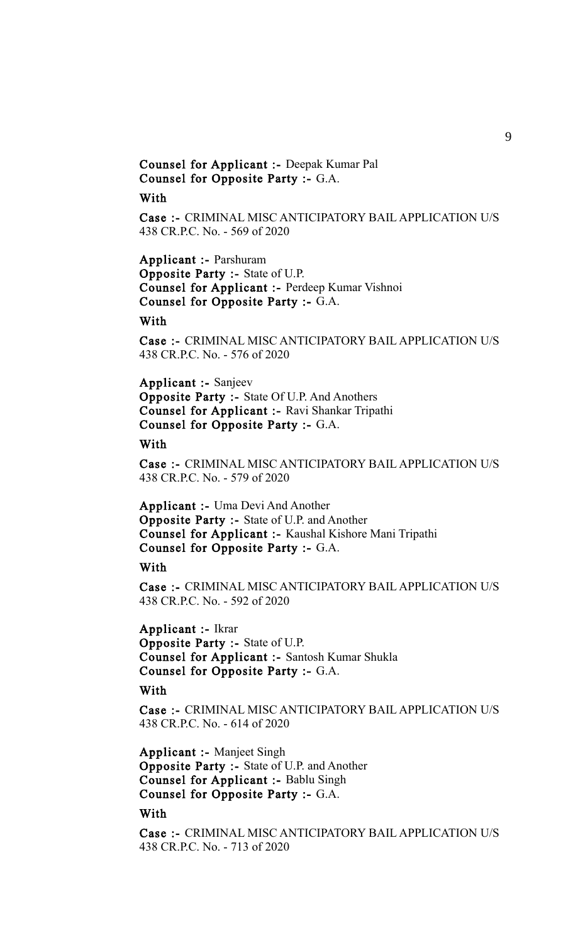# Counsel for Applicant :- Deepak Kumar Pal Counsel for Opposite Party :- G.A.

# With

Case :- CRIMINAL MISC ANTICIPATORY BAIL APPLICATION U/S 438 CR.P.C. No. - 569 of 2020

Applicant :- Parshuram Opposite Party :- State of U.P. Counsel for Applicant :- Perdeep Kumar Vishnoi Counsel for Opposite Party :- G.A.

# With

Case :- CRIMINAL MISC ANTICIPATORY BAIL APPLICATION U/S 438 CR.P.C. No. - 576 of 2020

Applicant :- Sanjeev Opposite Party :- State Of U.P. And Anothers Counsel for Applicant :- Ravi Shankar Tripathi Counsel for Opposite Party :- G.A.

#### With

Case :- CRIMINAL MISC ANTICIPATORY BAIL APPLICATION U/S 438 CR.P.C. No. - 579 of 2020

Applicant :- Uma Devi And Another Opposite Party :- State of U.P. and Another Counsel for Applicant :- Kaushal Kishore Mani Tripathi Counsel for Opposite Party :- G.A.

## With

Case :- CRIMINAL MISC ANTICIPATORY BAIL APPLICATION U/S 438 CR.P.C. No. - 592 of 2020

Applicant :- Ikrar Opposite Party :- State of U.P. Counsel for Applicant :- Santosh Kumar Shukla Counsel for Opposite Party :- G.A.

# With

Case :- CRIMINAL MISC ANTICIPATORY BAIL APPLICATION U/S 438 CR.P.C. No. - 614 of 2020

Applicant :- Manjeet Singh Opposite Party :- State of U.P. and Another Counsel for Applicant :- Bablu Singh Counsel for Opposite Party :- G.A.

# With

Case :- CRIMINAL MISC ANTICIPATORY BAIL APPLICATION U/S 438 CR.P.C. No. - 713 of 2020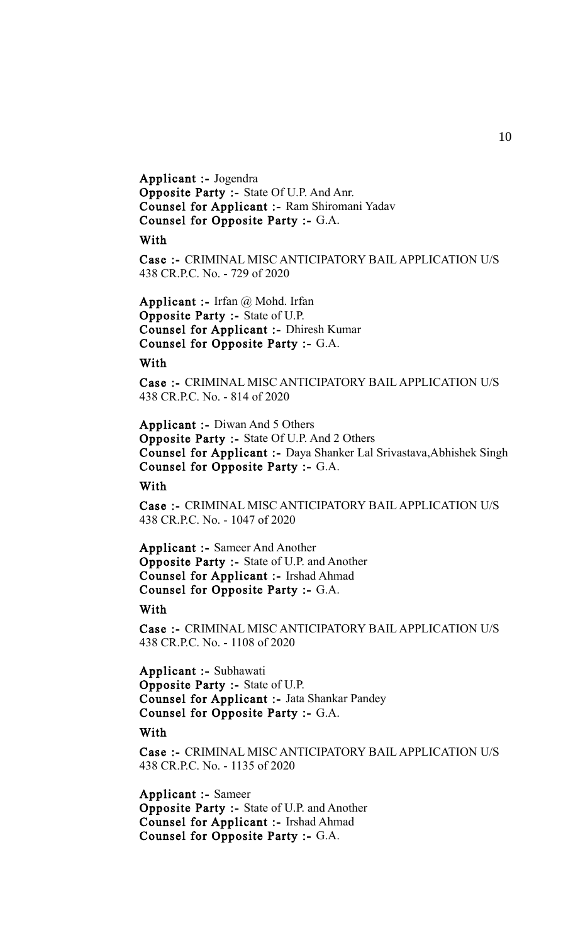Applicant :- Jogendra Opposite Party :- State Of U.P. And Anr. Counsel for Applicant :- Ram Shiromani Yadav Counsel for Opposite Party :- G.A.

#### With

Case :- CRIMINAL MISC ANTICIPATORY BAIL APPLICATION U/S 438 CR.P.C. No. - 729 of 2020

**Applicant :-** Irfan  $\omega$  Mohd. Irfan Opposite Party :- State of U.P. Counsel for Applicant :- Dhiresh Kumar Counsel for Opposite Party :- G.A.

# With

Case :- CRIMINAL MISC ANTICIPATORY BAIL APPLICATION U/S 438 CR.P.C. No. - 814 of 2020

Applicant :- Diwan And 5 Others Opposite Party :- State Of U.P. And 2 Others Counsel for Applicant :- Daya Shanker Lal Srivastava,Abhishek Singh Counsel for Opposite Party :- G.A.

With

Case :- CRIMINAL MISC ANTICIPATORY BAIL APPLICATION U/S 438 CR.P.C. No. - 1047 of 2020

Applicant :- Sameer And Another Opposite Party :- State of U.P. and Another Counsel for Applicant :- Irshad Ahmad Counsel for Opposite Party :- G.A.

# With

Case :- CRIMINAL MISC ANTICIPATORY BAIL APPLICATION U/S 438 CR.P.C. No. - 1108 of 2020

Applicant :- Subhawati Opposite Party :- State of U.P. Counsel for Applicant :- Jata Shankar Pandey Counsel for Opposite Party :- G.A.

#### With

Case :- CRIMINAL MISC ANTICIPATORY BAIL APPLICATION U/S 438 CR.P.C. No. - 1135 of 2020

Applicant :- Sameer Opposite Party :- State of U.P. and Another Counsel for Applicant :- Irshad Ahmad Counsel for Opposite Party :- G.A.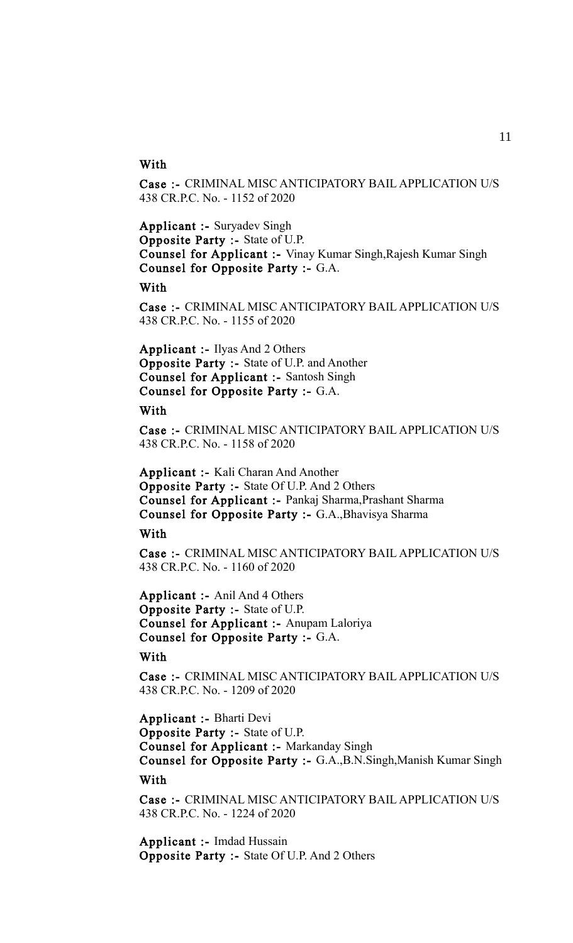# **With**

Case :- CRIMINAL MISC ANTICIPATORY BAIL APPLICATION U/S 438 CR.P.C. No. - 1152 of 2020

Applicant :- Suryadev Singh Opposite Party :- State of U.P. Counsel for Applicant :- Vinay Kumar Singh,Rajesh Kumar Singh Counsel for Opposite Party :- G.A.

With

Case :- CRIMINAL MISC ANTICIPATORY BAIL APPLICATION U/S 438 CR.P.C. No. - 1155 of 2020

Applicant :- Ilyas And 2 Others Opposite Party :- State of U.P. and Another Counsel for Applicant :- Santosh Singh Counsel for Opposite Party :- G.A.

# **With**

Case :- CRIMINAL MISC ANTICIPATORY BAIL APPLICATION U/S 438 CR.P.C. No. - 1158 of 2020

Applicant :- Kali Charan And Another Opposite Party :- State Of U.P. And 2 Others Counsel for Applicant :- Pankaj Sharma,Prashant Sharma Counsel for Opposite Party :- G.A.,Bhavisya Sharma

**With** 

Case :- CRIMINAL MISC ANTICIPATORY BAIL APPLICATION U/S 438 CR.P.C. No. - 1160 of 2020

Applicant :- Anil And 4 Others Opposite Party :- State of U.P. Counsel for Applicant :- Anupam Laloriya Counsel for Opposite Party :- G.A.

With

Case :- CRIMINAL MISC ANTICIPATORY BAIL APPLICATION U/S 438 CR.P.C. No. - 1209 of 2020

Applicant :- Bharti Devi Opposite Party :- State of U.P. Counsel for Applicant :- Markanday Singh Counsel for Opposite Party :- G.A.,B.N.Singh,Manish Kumar Singh

With

Case :- CRIMINAL MISC ANTICIPATORY BAIL APPLICATION U/S 438 CR.P.C. No. - 1224 of 2020

Applicant :- Imdad Hussain Opposite Party :- State Of U.P. And 2 Others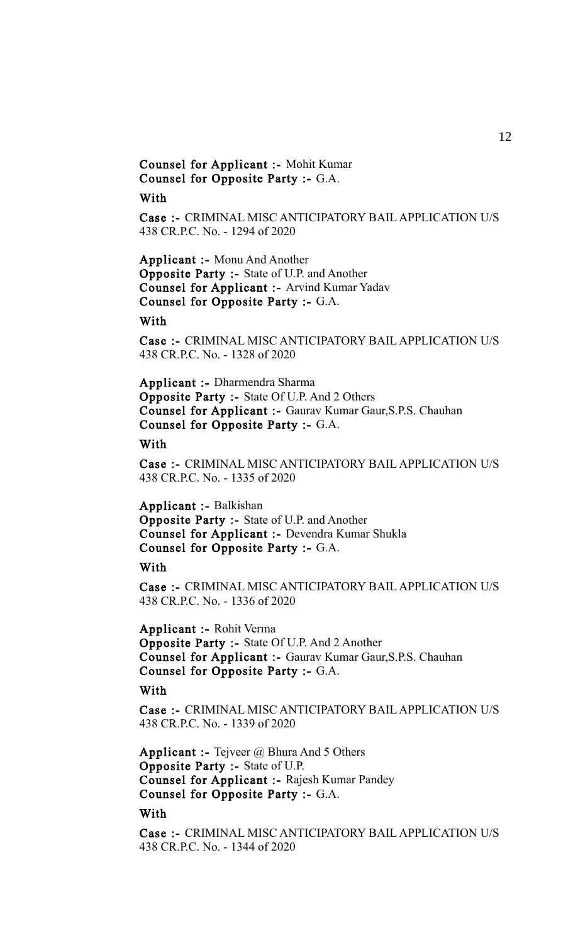Counsel for Applicant :- Mohit Kumar Counsel for Opposite Party :- G.A.

# With

Case :- CRIMINAL MISC ANTICIPATORY BAIL APPLICATION U/S 438 CR.P.C. No. - 1294 of 2020

Applicant :- Monu And Another Opposite Party :- State of U.P. and Another Counsel for Applicant :- Arvind Kumar Yadav Counsel for Opposite Party :- G.A.

# With

Case :- CRIMINAL MISC ANTICIPATORY BAIL APPLICATION U/S 438 CR.P.C. No. - 1328 of 2020

Applicant :- Dharmendra Sharma Opposite Party :- State Of U.P. And 2 Others Counsel for Applicant :- Gaurav Kumar Gaur,S.P.S. Chauhan Counsel for Opposite Party :- G.A.

#### With

Case :- CRIMINAL MISC ANTICIPATORY BAIL APPLICATION U/S 438 CR.P.C. No. - 1335 of 2020

Applicant :- Balkishan Opposite Party :- State of U.P. and Another Counsel for Applicant :- Devendra Kumar Shukla Counsel for Opposite Party :- G.A.

## With

Case :- CRIMINAL MISC ANTICIPATORY BAIL APPLICATION U/S 438 CR.P.C. No. - 1336 of 2020

Applicant :- Rohit Verma Opposite Party :- State Of U.P. And 2 Another Counsel for Applicant :- Gaurav Kumar Gaur,S.P.S. Chauhan Counsel for Opposite Party :- G.A.

# With

Case :- CRIMINAL MISC ANTICIPATORY BAIL APPLICATION U/S 438 CR.P.C. No. - 1339 of 2020

**Applicant :-** Tejveer  $\omega$  Bhura And 5 Others Opposite Party :- State of U.P. Counsel for Applicant :- Rajesh Kumar Pandey Counsel for Opposite Party :- G.A.

# With

Case :- CRIMINAL MISC ANTICIPATORY BAIL APPLICATION U/S 438 CR.P.C. No. - 1344 of 2020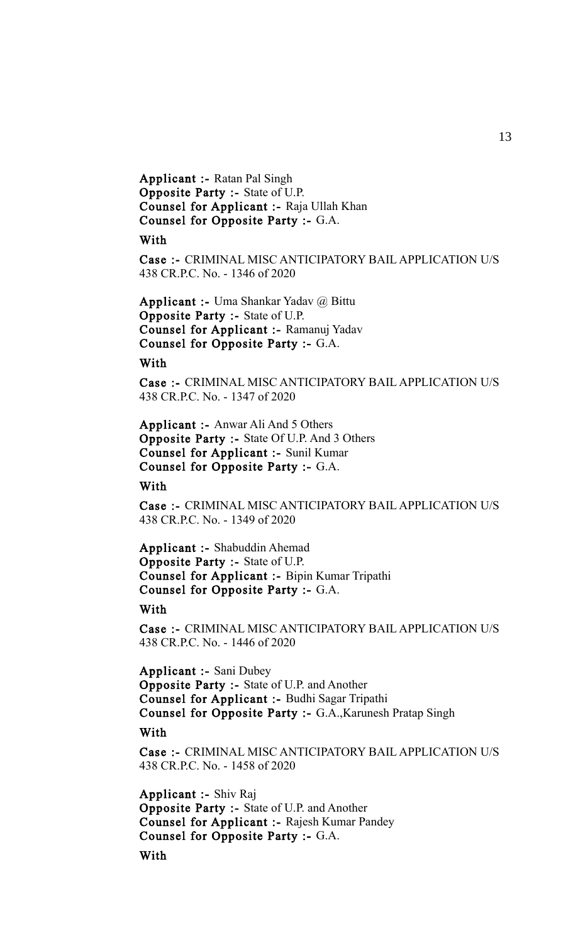Applicant :- Ratan Pal Singh Opposite Party :- State of U.P. Counsel for Applicant :- Raja Ullah Khan Counsel for Opposite Party :- G.A.

#### With

Case :- CRIMINAL MISC ANTICIPATORY BAIL APPLICATION U/S 438 CR.P.C. No. - 1346 of 2020

Applicant :- Uma Shankar Yadav @ Bittu Opposite Party :- State of U.P. Counsel for Applicant :- Ramanuj Yadav Counsel for Opposite Party :- G.A.

## With

Case :- CRIMINAL MISC ANTICIPATORY BAIL APPLICATION U/S 438 CR.P.C. No. - 1347 of 2020

Applicant :- Anwar Ali And 5 Others Opposite Party :- State Of U.P. And 3 Others Counsel for Applicant :- Sunil Kumar Counsel for Opposite Party :- G.A.

With

Case :- CRIMINAL MISC ANTICIPATORY BAIL APPLICATION U/S 438 CR.P.C. No. - 1349 of 2020

Applicant :- Shabuddin Ahemad Opposite Party :- State of U.P. Counsel for Applicant :- Bipin Kumar Tripathi Counsel for Opposite Party :- G.A.

# With

Case :- CRIMINAL MISC ANTICIPATORY BAIL APPLICATION U/S 438 CR.P.C. No. - 1446 of 2020

Applicant :- Sani Dubey Opposite Party :- State of U.P. and Another Counsel for Applicant :- Budhi Sagar Tripathi Counsel for Opposite Party :- G.A.,Karunesh Pratap Singh

#### With

Case :- CRIMINAL MISC ANTICIPATORY BAIL APPLICATION U/S 438 CR.P.C. No. - 1458 of 2020

Applicant :- Shiv Raj Opposite Party :- State of U.P. and Another Counsel for Applicant :- Rajesh Kumar Pandey Counsel for Opposite Party :- G.A.

With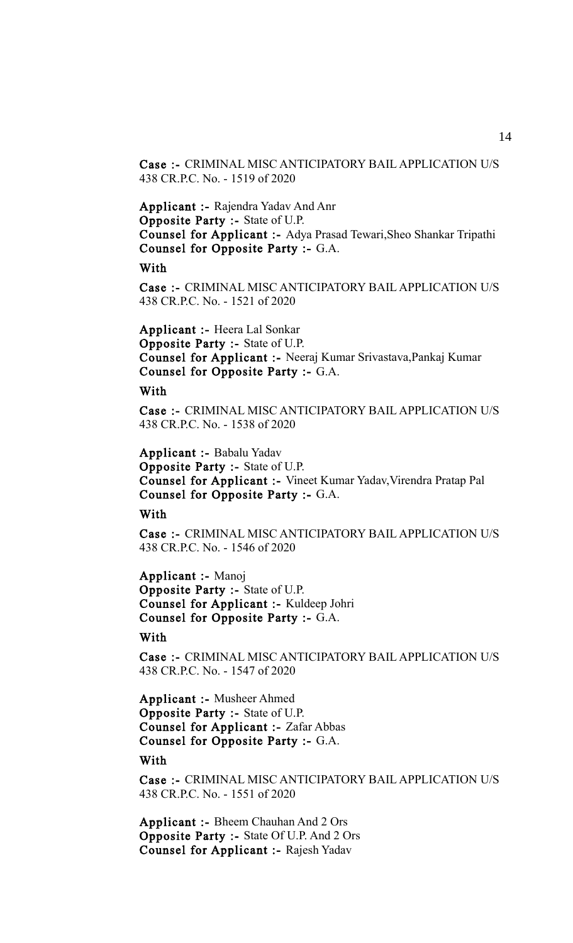Case :- CRIMINAL MISC ANTICIPATORY BAIL APPLICATION U/S 438 CR.P.C. No. - 1519 of 2020

Applicant :- Rajendra Yadav And Anr Opposite Party :- State of U.P. Counsel for Applicant :- Adya Prasad Tewari,Sheo Shankar Tripathi Counsel for Opposite Party :- G.A.

With

Case :- CRIMINAL MISC ANTICIPATORY BAIL APPLICATION U/S 438 CR.P.C. No. - 1521 of 2020

Applicant :- Heera Lal Sonkar Opposite Party :- State of U.P. Counsel for Applicant :- Neeraj Kumar Srivastava,Pankaj Kumar Counsel for Opposite Party :- G.A.

## With

Case :- CRIMINAL MISC ANTICIPATORY BAIL APPLICATION U/S 438 CR.P.C. No. - 1538 of 2020

Applicant :- Babalu Yadav Opposite Party :- State of U.P. Counsel for Applicant :- Vineet Kumar Yadav,Virendra Pratap Pal Counsel for Opposite Party :- G.A.

# **With**

Case :- CRIMINAL MISC ANTICIPATORY BAIL APPLICATION U/S 438 CR.P.C. No. - 1546 of 2020

Applicant :- Manoj Opposite Party :- State of U.P. Counsel for Applicant :- Kuldeep Johri Counsel for Opposite Party :- G.A.

# **With**

Case :- CRIMINAL MISC ANTICIPATORY BAIL APPLICATION U/S 438 CR.P.C. No. - 1547 of 2020

Applicant :- Musheer Ahmed Opposite Party :- State of U.P. Counsel for Applicant :- Zafar Abbas Counsel for Opposite Party :- G.A.

**With** 

Case :- CRIMINAL MISC ANTICIPATORY BAIL APPLICATION U/S 438 CR.P.C. No. - 1551 of 2020

Applicant :- Bheem Chauhan And 2 Ors Opposite Party :- State Of U.P. And 2 Ors Counsel for Applicant :- Rajesh Yadav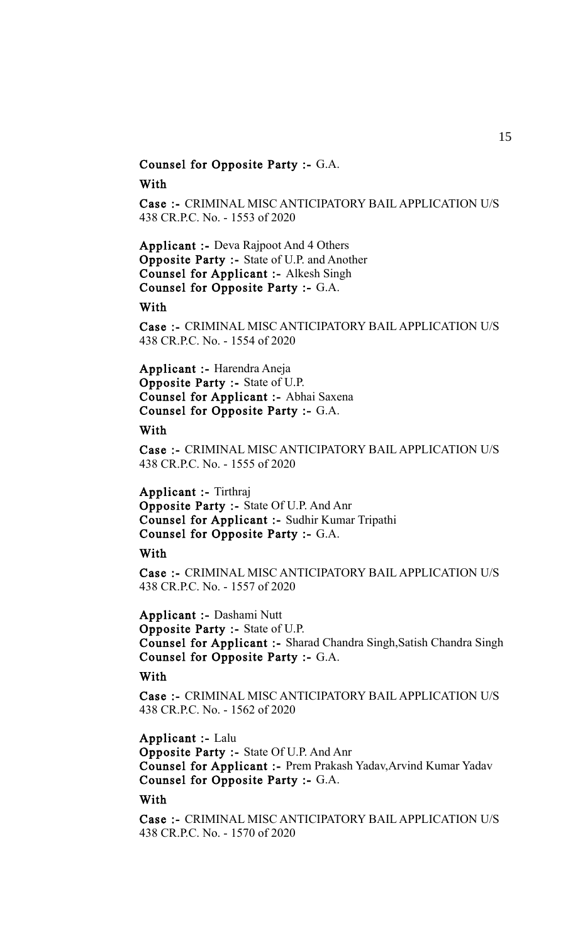# Counsel for Opposite Party :- G.A.

With

Case :- CRIMINAL MISC ANTICIPATORY BAIL APPLICATION U/S 438 CR.P.C. No. - 1553 of 2020

Applicant :- Deva Rajpoot And 4 Others Opposite Party :- State of U.P. and Another Counsel for Applicant :- Alkesh Singh Counsel for Opposite Party :- G.A.

With

Case :- CRIMINAL MISC ANTICIPATORY BAIL APPLICATION U/S 438 CR.P.C. No. - 1554 of 2020

Applicant :- Harendra Aneja Opposite Party :- State of U.P. Counsel for Applicant :- Abhai Saxena Counsel for Opposite Party :- G.A.

# With

Case :- CRIMINAL MISC ANTICIPATORY BAIL APPLICATION U/S 438 CR.P.C. No. - 1555 of 2020

Applicant :- Tirthraj Opposite Party :- State Of U.P. And Anr Counsel for Applicant :- Sudhir Kumar Tripathi Counsel for Opposite Party :- G.A.

With

Case :- CRIMINAL MISC ANTICIPATORY BAIL APPLICATION U/S 438 CR.P.C. No. - 1557 of 2020

Applicant :- Dashami Nutt Opposite Party :- State of U.P. Counsel for Applicant :- Sharad Chandra Singh,Satish Chandra Singh Counsel for Opposite Party :- G.A.

With

Case :- CRIMINAL MISC ANTICIPATORY BAIL APPLICATION U/S 438 CR.P.C. No. - 1562 of 2020

Applicant :- Lalu

Opposite Party :- State Of U.P. And Anr Counsel for Applicant :- Prem Prakash Yadav,Arvind Kumar Yadav Counsel for Opposite Party :- G.A.

With

Case :- CRIMINAL MISC ANTICIPATORY BAIL APPLICATION U/S 438 CR.P.C. No. - 1570 of 2020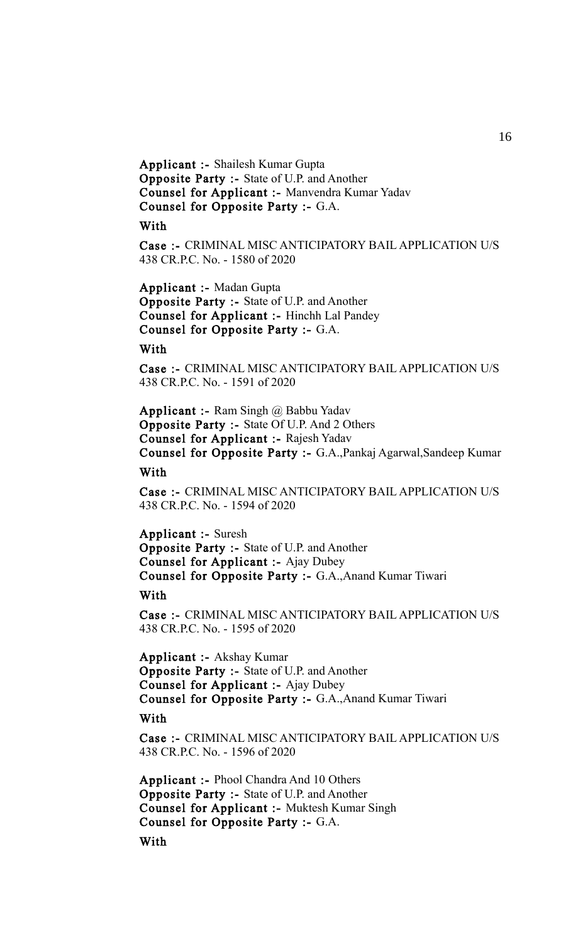Applicant :- Shailesh Kumar Gupta Opposite Party :- State of U.P. and Another Counsel for Applicant :- Manvendra Kumar Yadav Counsel for Opposite Party :- G.A.

With

Case :- CRIMINAL MISC ANTICIPATORY BAIL APPLICATION U/S 438 CR.P.C. No. - 1580 of 2020

Applicant :- Madan Gupta Opposite Party :- State of U.P. and Another Counsel for Applicant :- Hinchh Lal Pandey Counsel for Opposite Party :- G.A.

**With** 

Case :- CRIMINAL MISC ANTICIPATORY BAIL APPLICATION U/S 438 CR.P.C. No. - 1591 of 2020

**Applicant :-** Ram Singh  $\omega$  Babbu Yadav Opposite Party :- State Of U.P. And 2 Others Counsel for Applicant :- Rajesh Yadav Counsel for Opposite Party :- G.A.,Pankaj Agarwal,Sandeep Kumar

With

Case :- CRIMINAL MISC ANTICIPATORY BAIL APPLICATION U/S 438 CR.P.C. No. - 1594 of 2020

Applicant :- Suresh Opposite Party :- State of U.P. and Another Counsel for Applicant :- Ajay Dubey Counsel for Opposite Party :- G.A.,Anand Kumar Tiwari

With

Case :- CRIMINAL MISC ANTICIPATORY BAIL APPLICATION U/S 438 CR.P.C. No. - 1595 of 2020

Applicant :- Akshay Kumar Opposite Party :- State of U.P. and Another Counsel for Applicant :- Ajay Dubey Counsel for Opposite Party :- G.A.,Anand Kumar Tiwari With

Case :- CRIMINAL MISC ANTICIPATORY BAIL APPLICATION U/S 438 CR.P.C. No. - 1596 of 2020

Applicant :- Phool Chandra And 10 Others Opposite Party :- State of U.P. and Another Counsel for Applicant :- Muktesh Kumar Singh Counsel for Opposite Party :- G.A. **With** 

16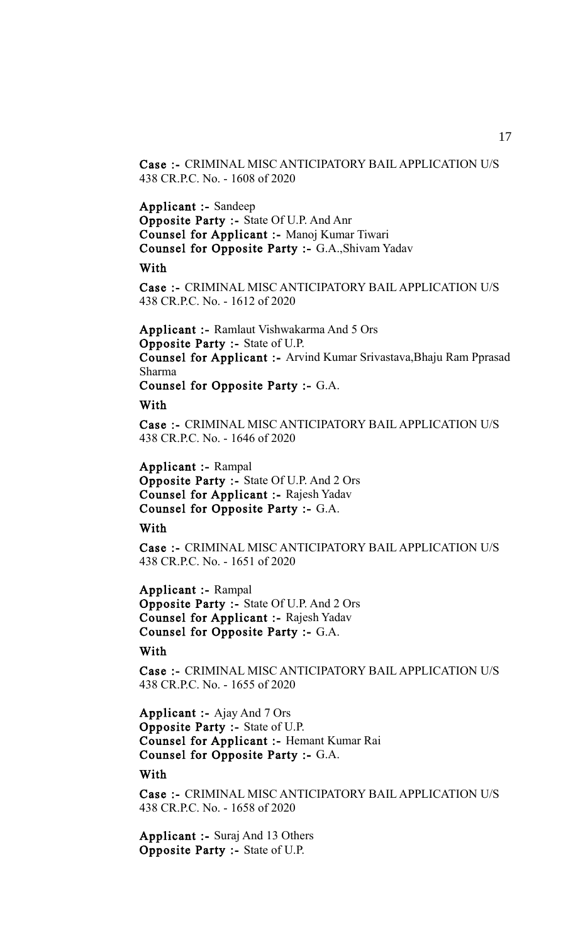Case :- CRIMINAL MISC ANTICIPATORY BAIL APPLICATION U/S 438 CR.P.C. No. - 1608 of 2020

Applicant :- Sandeep Opposite Party :- State Of U.P. And Anr Counsel for Applicant :- Manoj Kumar Tiwari Counsel for Opposite Party :- G.A.,Shivam Yadav

With

Case :- CRIMINAL MISC ANTICIPATORY BAIL APPLICATION U/S 438 CR.P.C. No. - 1612 of 2020

Applicant :- Ramlaut Vishwakarma And 5 Ors Opposite Party :- State of U.P. Counsel for Applicant :- Arvind Kumar Srivastava,Bhaju Ram Pprasad Sharma

Counsel for Opposite Party :- G.A.

With

Case :- CRIMINAL MISC ANTICIPATORY BAIL APPLICATION U/S 438 CR.P.C. No. - 1646 of 2020

Applicant :- Rampal Opposite Party :- State Of U.P. And 2 Ors Counsel for Applicant :- Rajesh Yadav Counsel for Opposite Party :- G.A.

With

Case :- CRIMINAL MISC ANTICIPATORY BAIL APPLICATION U/S 438 CR.P.C. No. - 1651 of 2020

Applicant :- Rampal Opposite Party :- State Of U.P. And 2 Ors Counsel for Applicant :- Rajesh Yadav Counsel for Opposite Party :- G.A.

With

Case :- CRIMINAL MISC ANTICIPATORY BAIL APPLICATION U/S 438 CR.P.C. No. - 1655 of 2020

Applicant :- Ajay And 7 Ors Opposite Party :- State of U.P. Counsel for Applicant :- Hemant Kumar Rai Counsel for Opposite Party :- G.A.

**With** 

Case :- CRIMINAL MISC ANTICIPATORY BAIL APPLICATION U/S 438 CR.P.C. No. - 1658 of 2020

Applicant :- Suraj And 13 Others Opposite Party :- State of U.P.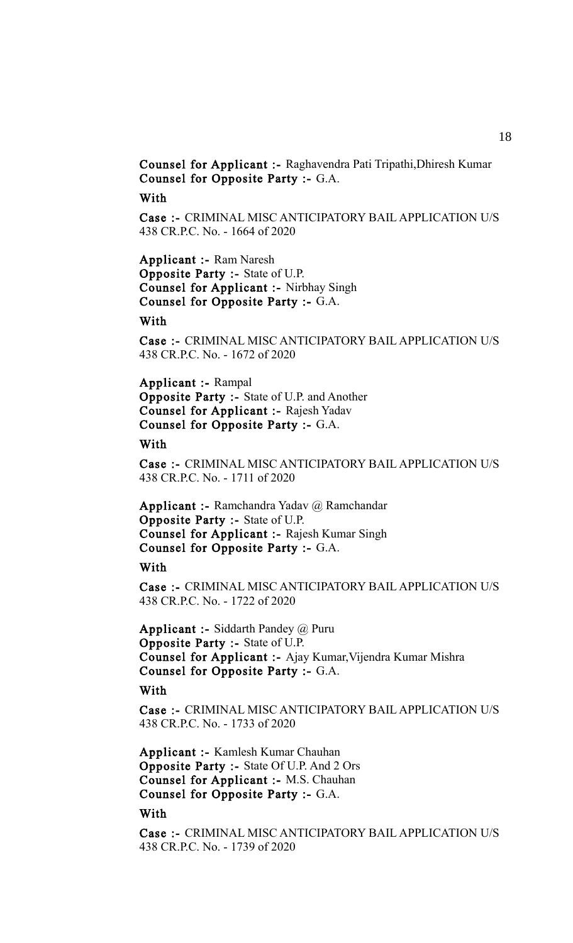Counsel for Applicant :- Raghavendra Pati Tripathi,Dhiresh Kumar Counsel for Opposite Party :- G.A.

# With

Case :- CRIMINAL MISC ANTICIPATORY BAIL APPLICATION U/S 438 CR.P.C. No. - 1664 of 2020

Applicant :- Ram Naresh Opposite Party :- State of U.P. Counsel for Applicant :- Nirbhay Singh Counsel for Opposite Party :- G.A.

# With

Case :- CRIMINAL MISC ANTICIPATORY BAIL APPLICATION U/S 438 CR.P.C. No. - 1672 of 2020

Applicant :- Rampal Opposite Party :- State of U.P. and Another Counsel for Applicant :- Rajesh Yadav Counsel for Opposite Party :- G.A.

#### With

Case :- CRIMINAL MISC ANTICIPATORY BAIL APPLICATION U/S 438 CR.P.C. No. - 1711 of 2020

Applicant :- Ramchandra Yadav @ Ramchandar Opposite Party :- State of U.P. Counsel for Applicant :- Rajesh Kumar Singh Counsel for Opposite Party :- G.A.

#### With

Case :- CRIMINAL MISC ANTICIPATORY BAIL APPLICATION U/S 438 CR.P.C. No. - 1722 of 2020

**Applicant :- Siddarth Pandey @ Puru** Opposite Party :- State of U.P. Counsel for Applicant :- Ajay Kumar,Vijendra Kumar Mishra Counsel for Opposite Party :- G.A.

# With

Case :- CRIMINAL MISC ANTICIPATORY BAIL APPLICATION U/S 438 CR.P.C. No. - 1733 of 2020

Applicant :- Kamlesh Kumar Chauhan Opposite Party :- State Of U.P. And 2 Ors Counsel for Applicant :- M.S. Chauhan Counsel for Opposite Party :- G.A.

# With

Case :- CRIMINAL MISC ANTICIPATORY BAIL APPLICATION U/S 438 CR.P.C. No. - 1739 of 2020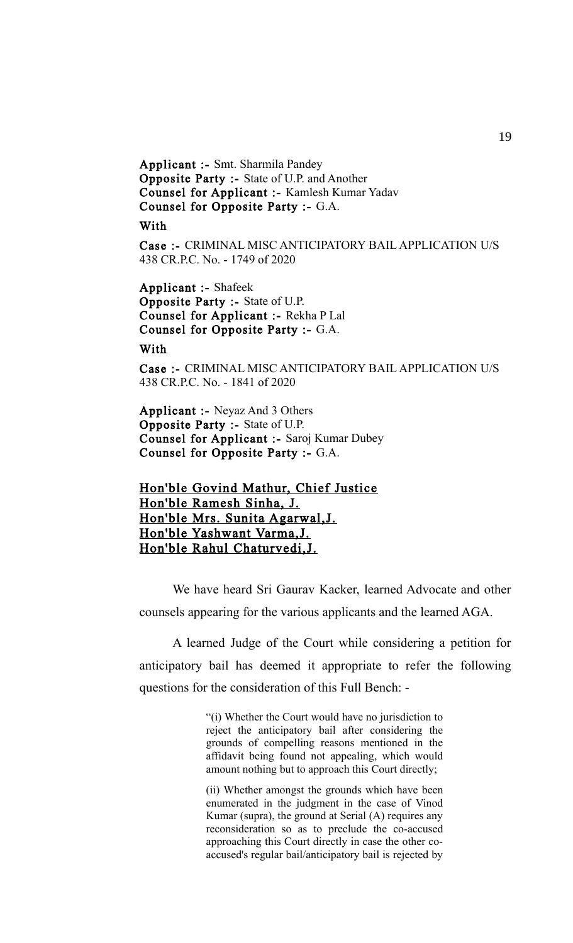Applicant :- Smt. Sharmila Pandey Opposite Party :- State of U.P. and Another Counsel for Applicant :- Kamlesh Kumar Yadav Counsel for Opposite Party :- G.A.

With

Case :- CRIMINAL MISC ANTICIPATORY BAIL APPLICATION U/S 438 CR.P.C. No. - 1749 of 2020

Applicant :- Shafeek Opposite Party :- State of U.P. Counsel for Applicant :- Rekha P Lal Counsel for Opposite Party :- G.A.

**With** 

Case :- CRIMINAL MISC ANTICIPATORY BAIL APPLICATION U/S 438 CR.P.C. No. - 1841 of 2020

Applicant :- Neyaz And 3 Others Opposite Party :- State of U.P. Counsel for Applicant :- Saroj Kumar Dubey Counsel for Opposite Party :- G.A.

# Hon'ble Govind Mathur, Chief Justice Hon'ble Ramesh Sinha, J. Hon'ble Mrs. Sunita Agarwal,J. Hon'ble Yashwant Varma,J. Hon'ble Rahul Chaturvedi,J.

We have heard Sri Gaurav Kacker, learned Advocate and other counsels appearing for the various applicants and the learned AGA.

A learned Judge of the Court while considering a petition for anticipatory bail has deemed it appropriate to refer the following questions for the consideration of this Full Bench: -

> "(i) Whether the Court would have no jurisdiction to reject the anticipatory bail after considering the grounds of compelling reasons mentioned in the affidavit being found not appealing, which would amount nothing but to approach this Court directly;

> (ii) Whether amongst the grounds which have been enumerated in the judgment in the case of Vinod Kumar (supra), the ground at Serial (A) requires any reconsideration so as to preclude the co-accused approaching this Court directly in case the other coaccused's regular bail/anticipatory bail is rejected by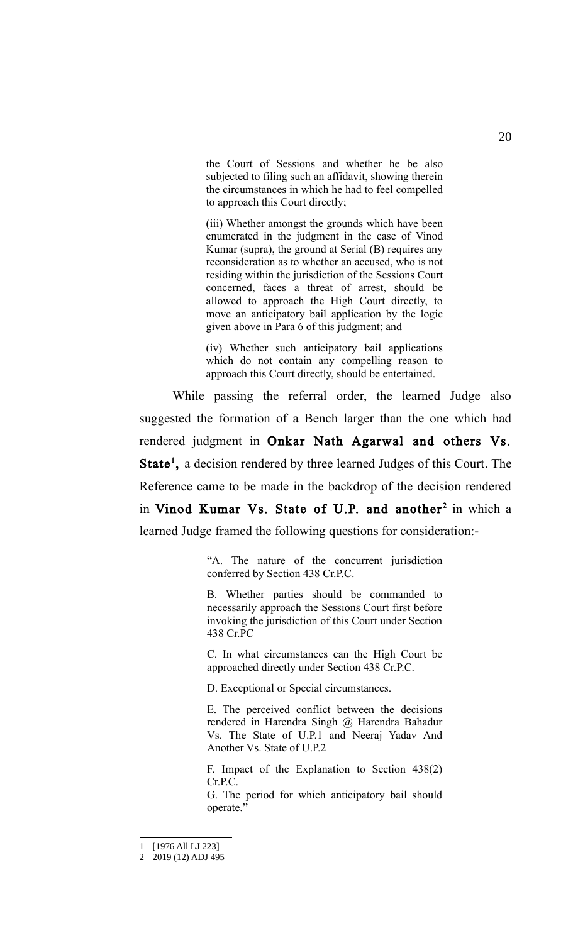the Court of Sessions and whether he be also subjected to filing such an affidavit, showing therein the circumstances in which he had to feel compelled to approach this Court directly;

(iii) Whether amongst the grounds which have been enumerated in the judgment in the case of Vinod Kumar (supra), the ground at Serial (B) requires any reconsideration as to whether an accused, who is not residing within the jurisdiction of the Sessions Court concerned, faces a threat of arrest, should be allowed to approach the High Court directly, to move an anticipatory bail application by the logic given above in Para 6 of this judgment; and

(iv) Whether such anticipatory bail applications which do not contain any compelling reason to approach this Court directly, should be entertained.

While passing the referral order, the learned Judge also suggested the formation of a Bench larger than the one which had rendered judgment in Onkar Nath Agarwal and others Vs. State<sup>[1](#page-19-0)</sup>, a decision rendered by three learned Judges of this Court. The Reference came to be made in the backdrop of the decision rendered in Vinod Kumar Vs. State of U.P. and another<sup>2</sup> in which a learned Judge framed the following questions for consideration:-

> "A. The nature of the concurrent jurisdiction conferred by Section 438 Cr.P.C.

> B. Whether parties should be commanded to necessarily approach the Sessions Court first before invoking the jurisdiction of this Court under Section 438 Cr.PC

> C. In what circumstances can the High Court be approached directly under Section 438 Cr.P.C.

D. Exceptional or Special circumstances.

E. The perceived conflict between the decisions rendered in Harendra Singh @ Harendra Bahadur Vs. The State of U.P.1 and Neeraj Yadav And Another Vs. State of U.P.2

F. Impact of the Explanation to Section 438(2) Cr.P.C.

G. The period for which anticipatory bail should operate."

<span id="page-19-0"></span><sup>1</sup> [1976 All LJ 223]

<span id="page-19-1"></span><sup>2</sup> 2019 (12) ADJ 495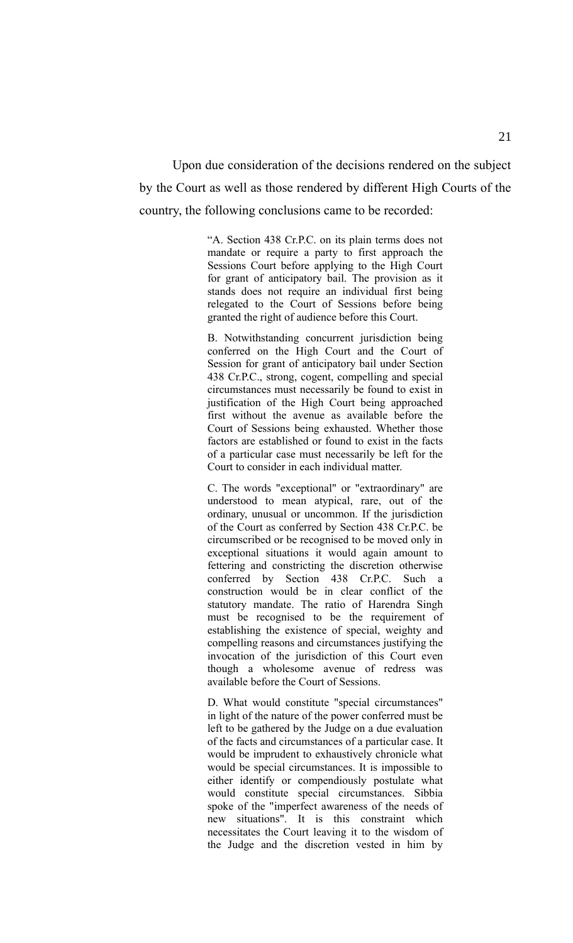Upon due consideration of the decisions rendered on the subject by the Court as well as those rendered by different High Courts of the country, the following conclusions came to be recorded:

> "A. Section 438 Cr.P.C. on its plain terms does not mandate or require a party to first approach the Sessions Court before applying to the High Court for grant of anticipatory bail. The provision as it stands does not require an individual first being relegated to the Court of Sessions before being granted the right of audience before this Court.

> B. Notwithstanding concurrent jurisdiction being conferred on the High Court and the Court of Session for grant of anticipatory bail under Section 438 Cr.P.C., strong, cogent, compelling and special circumstances must necessarily be found to exist in justification of the High Court being approached first without the avenue as available before the Court of Sessions being exhausted. Whether those factors are established or found to exist in the facts of a particular case must necessarily be left for the Court to consider in each individual matter.

> C. The words "exceptional" or "extraordinary" are understood to mean atypical, rare, out of the ordinary, unusual or uncommon. If the jurisdiction of the Court as conferred by Section 438 Cr.P.C. be circumscribed or be recognised to be moved only in exceptional situations it would again amount to fettering and constricting the discretion otherwise conferred by Section 438 Cr.P.C. Such a construction would be in clear conflict of the statutory mandate. The ratio of Harendra Singh must be recognised to be the requirement of establishing the existence of special, weighty and compelling reasons and circumstances justifying the invocation of the jurisdiction of this Court even though a wholesome avenue of redress was available before the Court of Sessions.

> D. What would constitute "special circumstances" in light of the nature of the power conferred must be left to be gathered by the Judge on a due evaluation of the facts and circumstances of a particular case. It would be imprudent to exhaustively chronicle what would be special circumstances. It is impossible to either identify or compendiously postulate what would constitute special circumstances. Sibbia spoke of the "imperfect awareness of the needs of new situations". It is this constraint which necessitates the Court leaving it to the wisdom of the Judge and the discretion vested in him by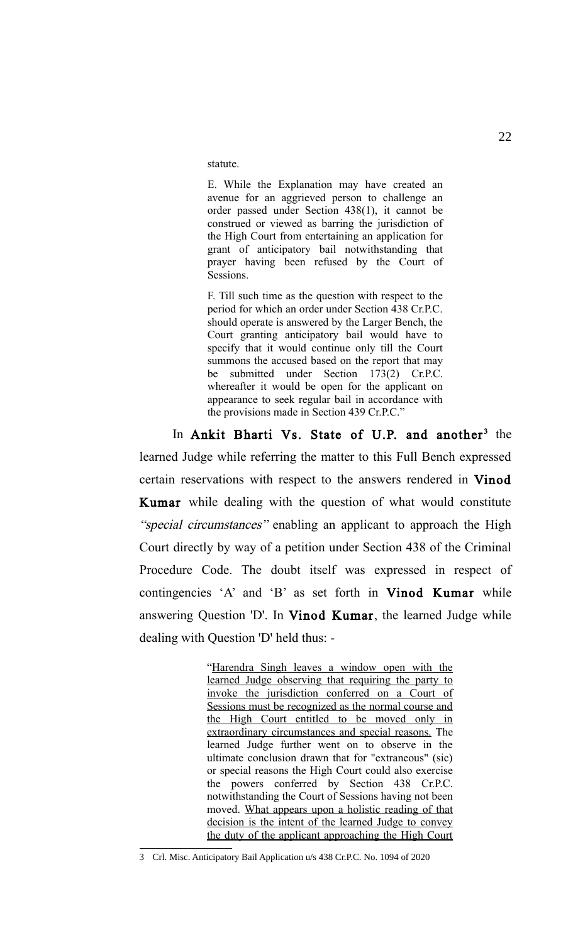statute.

E. While the Explanation may have created an avenue for an aggrieved person to challenge an order passed under Section 438(1), it cannot be construed or viewed as barring the jurisdiction of the High Court from entertaining an application for grant of anticipatory bail notwithstanding that prayer having been refused by the Court of Sessions.

F. Till such time as the question with respect to the period for which an order under Section 438 Cr.P.C. should operate is answered by the Larger Bench, the Court granting anticipatory bail would have to specify that it would continue only till the Court summons the accused based on the report that may be submitted under Section 173(2) Cr.P.C. whereafter it would be open for the applicant on appearance to seek regular bail in accordance with the provisions made in Section 439 Cr.P.C."

In Ankit Bharti Vs. State of U.P. and another<sup>[3](#page-21-0)</sup> the learned Judge while referring the matter to this Full Bench expressed certain reservations with respect to the answers rendered in Vinod Kumar while dealing with the question of what would constitute "special circumstances" enabling an applicant to approach the High Court directly by way of a petition under Section 438 of the Criminal Procedure Code. The doubt itself was expressed in respect of contingencies 'A' and 'B' as set forth in Vinod Kumar while answering Question 'D'. In Vinod Kumar, the learned Judge while dealing with Question 'D' held thus: -

> "Harendra Singh leaves a window open with the learned Judge observing that requiring the party to invoke the jurisdiction conferred on a Court of Sessions must be recognized as the normal course and the High Court entitled to be moved only in extraordinary circumstances and special reasons. The learned Judge further went on to observe in the ultimate conclusion drawn that for "extraneous" (sic) or special reasons the High Court could also exercise the powers conferred by Section 438 Cr.P.C. notwithstanding the Court of Sessions having not been moved. What appears upon a holistic reading of that decision is the intent of the learned Judge to convey the duty of the applicant approaching the High Court

<span id="page-21-0"></span><sup>3</sup> Crl. Misc. Anticipatory Bail Application u/s 438 Cr.P.C. No. 1094 of 2020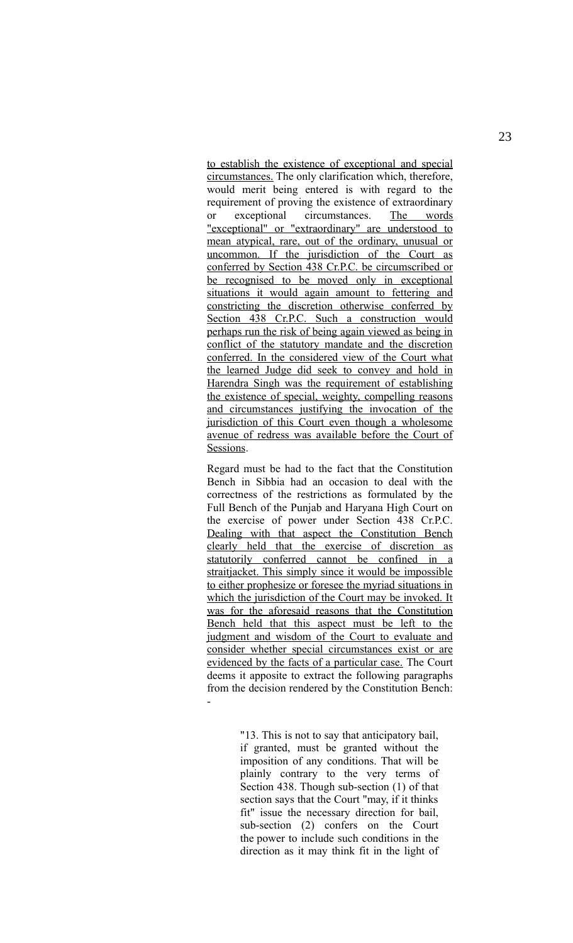to establish the existence of exceptional and special circumstances. The only clarification which, therefore, would merit being entered is with regard to the requirement of proving the existence of extraordinary or exceptional circumstances. The words "exceptional" or "extraordinary" are understood to mean atypical, rare, out of the ordinary, unusual or uncommon. If the jurisdiction of the Court as conferred by Section 438 Cr.P.C. be circumscribed or be recognised to be moved only in exceptional situations it would again amount to fettering and constricting the discretion otherwise conferred by Section 438 Cr.P.C. Such a construction would perhaps run the risk of being again viewed as being in conflict of the statutory mandate and the discretion conferred. In the considered view of the Court what the learned Judge did seek to convey and hold in Harendra Singh was the requirement of establishing the existence of special, weighty, compelling reasons and circumstances justifying the invocation of the jurisdiction of this Court even though a wholesome avenue of redress was available before the Court of Sessions.

Regard must be had to the fact that the Constitution Bench in Sibbia had an occasion to deal with the correctness of the restrictions as formulated by the Full Bench of the Punjab and Haryana High Court on the exercise of power under Section 438 Cr.P.C. Dealing with that aspect the Constitution Bench clearly held that the exercise of discretion as statutorily conferred cannot be confined in a straitjacket. This simply since it would be impossible to either prophesize or foresee the myriad situations in which the jurisdiction of the Court may be invoked. It was for the aforesaid reasons that the Constitution Bench held that this aspect must be left to the judgment and wisdom of the Court to evaluate and consider whether special circumstances exist or are evidenced by the facts of a particular case. The Court deems it apposite to extract the following paragraphs from the decision rendered by the Constitution Bench: -

> "13. This is not to say that anticipatory bail, if granted, must be granted without the imposition of any conditions. That will be plainly contrary to the very terms of Section 438. Though sub-section (1) of that section says that the Court "may, if it thinks fit" issue the necessary direction for bail, sub-section (2) confers on the Court the power to include such conditions in the direction as it may think fit in the light of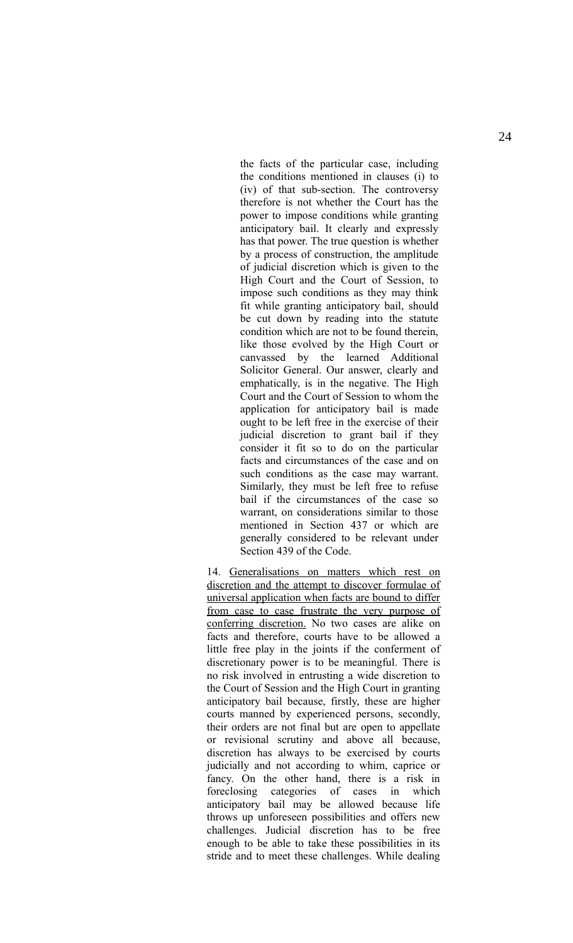the facts of the particular case, including the conditions mentioned in clauses (i) to (iv) of that sub-section. The controversy therefore is not whether the Court has the power to impose conditions while granting anticipatory bail. It clearly and expressly has that power. The true question is whether by a process of construction, the amplitude of judicial discretion which is given to the High Court and the Court of Session, to impose such conditions as they may think fit while granting anticipatory bail, should be cut down by reading into the statute condition which are not to be found therein, like those evolved by the High Court or canvassed by the learned Additional Solicitor General. Our answer, clearly and emphatically, is in the negative. The High Court and the Court of Session to whom the application for anticipatory bail is made ought to be left free in the exercise of their judicial discretion to grant bail if they consider it fit so to do on the particular facts and circumstances of the case and on such conditions as the case may warrant. Similarly, they must be left free to refuse bail if the circumstances of the case so warrant, on considerations similar to those mentioned in Section 437 or which are generally considered to be relevant under Section 439 of the Code.

14. Generalisations on matters which rest on discretion and the attempt to discover formulae of universal application when facts are bound to differ from case to case frustrate the very purpose of conferring discretion. No two cases are alike on facts and therefore, courts have to be allowed a little free play in the joints if the conferment of discretionary power is to be meaningful. There is no risk involved in entrusting a wide discretion to the Court of Session and the High Court in granting anticipatory bail because, firstly, these are higher courts manned by experienced persons, secondly, their orders are not final but are open to appellate or revisional scrutiny and above all because, discretion has always to be exercised by courts judicially and not according to whim, caprice or fancy. On the other hand, there is a risk in foreclosing categories of cases in which anticipatory bail may be allowed because life throws up unforeseen possibilities and offers new challenges. Judicial discretion has to be free enough to be able to take these possibilities in its stride and to meet these challenges. While dealing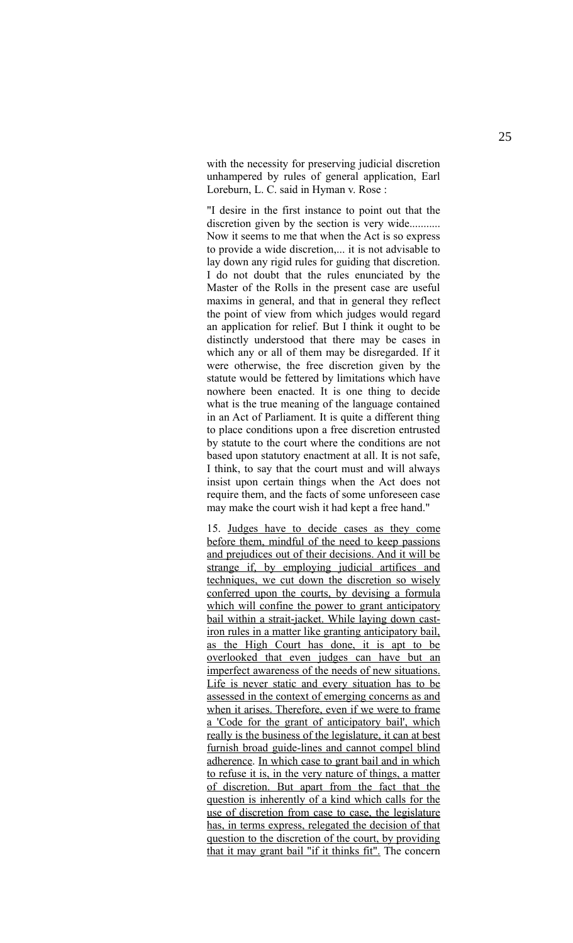with the necessity for preserving judicial discretion unhampered by rules of general application, Earl Loreburn, L. C. said in Hyman v. Rose :

"I desire in the first instance to point out that the discretion given by the section is very wide........... Now it seems to me that when the Act is so express to provide a wide discretion,... it is not advisable to lay down any rigid rules for guiding that discretion. I do not doubt that the rules enunciated by the Master of the Rolls in the present case are useful maxims in general, and that in general they reflect the point of view from which judges would regard an application for relief. But I think it ought to be distinctly understood that there may be cases in which any or all of them may be disregarded. If it were otherwise, the free discretion given by the statute would be fettered by limitations which have nowhere been enacted. It is one thing to decide what is the true meaning of the language contained in an Act of Parliament. It is quite a different thing to place conditions upon a free discretion entrusted by statute to the court where the conditions are not based upon statutory enactment at all. It is not safe, I think, to say that the court must and will always insist upon certain things when the Act does not require them, and the facts of some unforeseen case may make the court wish it had kept a free hand."

15. Judges have to decide cases as they come before them, mindful of the need to keep passions and prejudices out of their decisions. And it will be strange if, by employing judicial artifices and techniques, we cut down the discretion so wisely conferred upon the courts, by devising a formula which will confine the power to grant anticipatory bail within a strait-jacket. While laying down castiron rules in a matter like granting anticipatory bail, as the High Court has done, it is apt to be overlooked that even judges can have but an imperfect awareness of the needs of new situations. Life is never static and every situation has to be assessed in the context of emerging concerns as and when it arises. Therefore, even if we were to frame a 'Code for the grant of anticipatory bail', which really is the business of the legislature, it can at best furnish broad guide-lines and cannot compel blind adherence. In which case to grant bail and in which to refuse it is, in the very nature of things, a matter of discretion. But apart from the fact that the question is inherently of a kind which calls for the use of discretion from case to case, the legislature has, in terms express, relegated the decision of that question to the discretion of the court, by providing that it may grant bail "if it thinks fit". The concern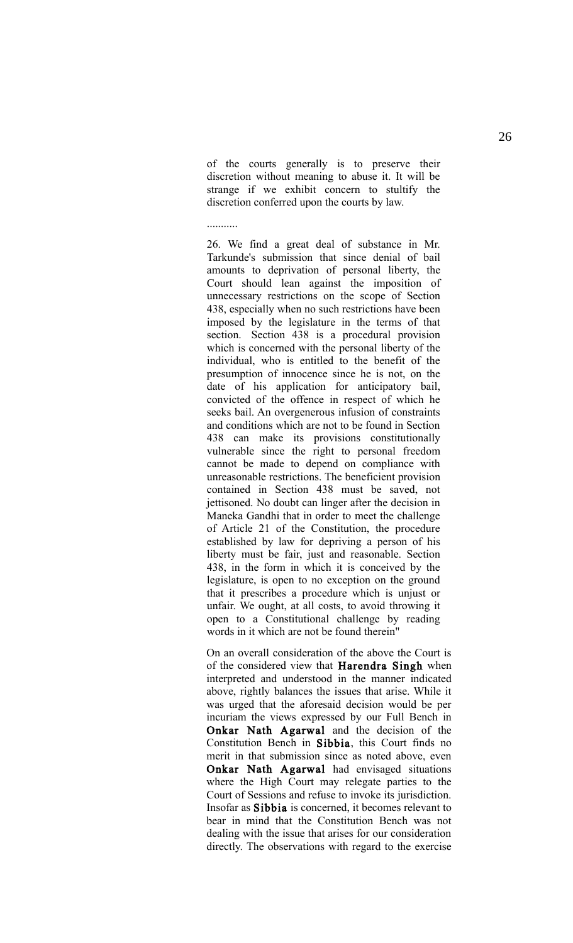of the courts generally is to preserve their discretion without meaning to abuse it. It will be strange if we exhibit concern to stultify the discretion conferred upon the courts by law.

...........

26. We find a great deal of substance in Mr. Tarkunde's submission that since denial of bail amounts to deprivation of personal liberty, the Court should lean against the imposition of unnecessary restrictions on the scope of Section 438, especially when no such restrictions have been imposed by the legislature in the terms of that section. Section 438 is a procedural provision which is concerned with the personal liberty of the individual, who is entitled to the benefit of the presumption of innocence since he is not, on the date of his application for anticipatory bail, convicted of the offence in respect of which he seeks bail. An overgenerous infusion of constraints and conditions which are not to be found in Section 438 can make its provisions constitutionally vulnerable since the right to personal freedom cannot be made to depend on compliance with unreasonable restrictions. The beneficient provision contained in Section 438 must be saved, not jettisoned. No doubt can linger after the decision in Maneka Gandhi that in order to meet the challenge of Article 21 of the Constitution, the procedure established by law for depriving a person of his liberty must be fair, just and reasonable. Section 438, in the form in which it is conceived by the legislature, is open to no exception on the ground that it prescribes a procedure which is unjust or unfair. We ought, at all costs, to avoid throwing it open to a Constitutional challenge by reading words in it which are not be found therein"

On an overall consideration of the above the Court is of the considered view that Harendra Singh when interpreted and understood in the manner indicated above, rightly balances the issues that arise. While it was urged that the aforesaid decision would be per incuriam the views expressed by our Full Bench in Onkar Nath Agarwal and the decision of the Constitution Bench in Sibbia, this Court finds no merit in that submission since as noted above, even Onkar Nath Agarwal had envisaged situations where the High Court may relegate parties to the Court of Sessions and refuse to invoke its jurisdiction. Insofar as Sibbia is concerned, it becomes relevant to bear in mind that the Constitution Bench was not dealing with the issue that arises for our consideration directly. The observations with regard to the exercise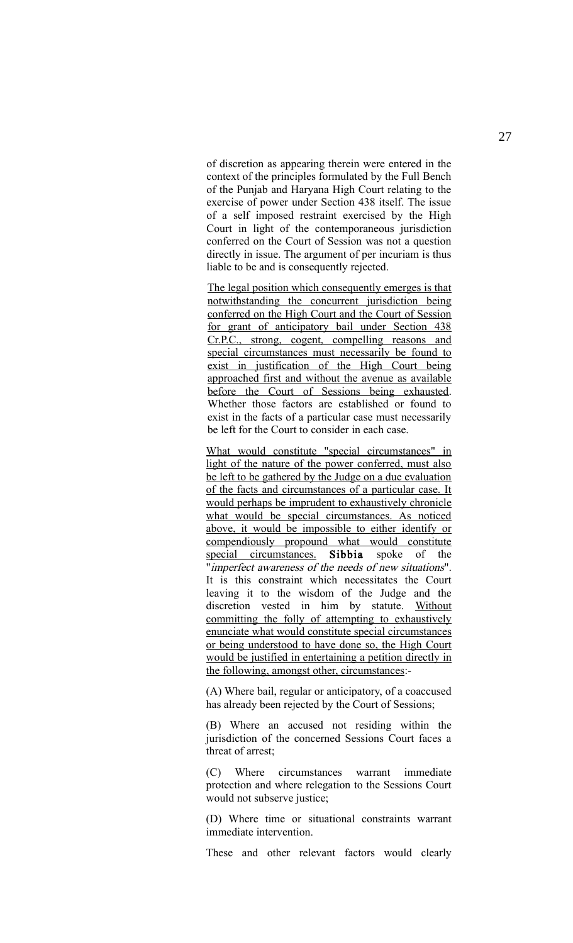of discretion as appearing therein were entered in the context of the principles formulated by the Full Bench of the Punjab and Haryana High Court relating to the exercise of power under Section 438 itself. The issue of a self imposed restraint exercised by the High Court in light of the contemporaneous jurisdiction conferred on the Court of Session was not a question directly in issue. The argument of per incuriam is thus liable to be and is consequently rejected.

The legal position which consequently emerges is that notwithstanding the concurrent jurisdiction being conferred on the High Court and the Court of Session for grant of anticipatory bail under Section 438 Cr.P.C., strong, cogent, compelling reasons and special circumstances must necessarily be found to exist in justification of the High Court being approached first and without the avenue as available before the Court of Sessions being exhausted. Whether those factors are established or found to exist in the facts of a particular case must necessarily be left for the Court to consider in each case.

What would constitute "special circumstances" in light of the nature of the power conferred, must also be left to be gathered by the Judge on a due evaluation of the facts and circumstances of a particular case. It would perhaps be imprudent to exhaustively chronicle what would be special circumstances. As noticed above, it would be impossible to either identify or compendiously propound what would constitute special circumstances. Sibbia spoke of the "imperfect awareness of the needs of new situations". It is this constraint which necessitates the Court leaving it to the wisdom of the Judge and the discretion vested in him by statute. Without committing the folly of attempting to exhaustively enunciate what would constitute special circumstances or being understood to have done so, the High Court would be justified in entertaining a petition directly in the following, amongst other, circumstances:-

(A) Where bail, regular or anticipatory, of a coaccused has already been rejected by the Court of Sessions;

(B) Where an accused not residing within the jurisdiction of the concerned Sessions Court faces a threat of arrest;

(C) Where circumstances warrant immediate protection and where relegation to the Sessions Court would not subserve justice;

(D) Where time or situational constraints warrant immediate intervention.

These and other relevant factors would clearly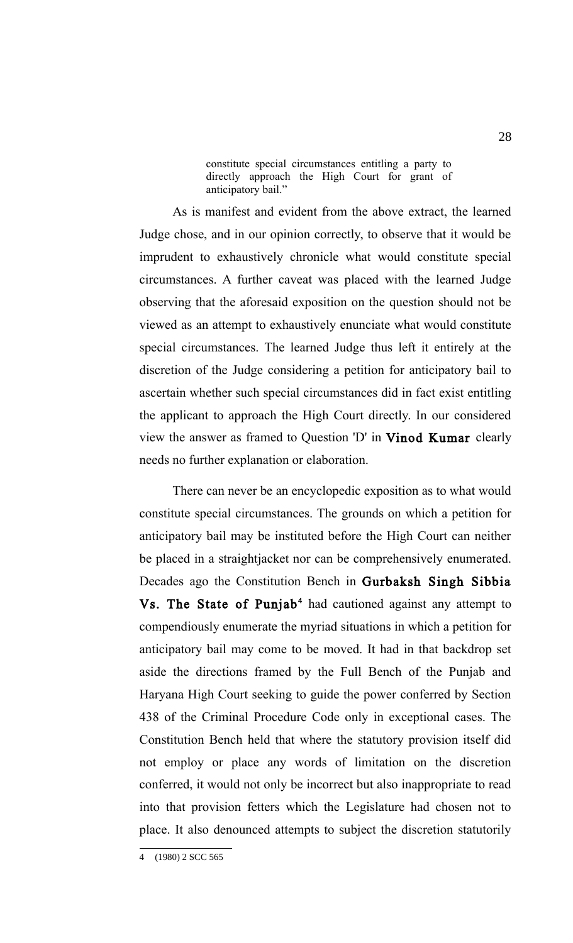constitute special circumstances entitling a party to directly approach the High Court for grant of anticipatory bail."

As is manifest and evident from the above extract, the learned Judge chose, and in our opinion correctly, to observe that it would be imprudent to exhaustively chronicle what would constitute special circumstances. A further caveat was placed with the learned Judge observing that the aforesaid exposition on the question should not be viewed as an attempt to exhaustively enunciate what would constitute special circumstances. The learned Judge thus left it entirely at the discretion of the Judge considering a petition for anticipatory bail to ascertain whether such special circumstances did in fact exist entitling the applicant to approach the High Court directly. In our considered view the answer as framed to Question 'D' in Vinod Kumar clearly needs no further explanation or elaboration.

There can never be an encyclopedic exposition as to what would constitute special circumstances. The grounds on which a petition for anticipatory bail may be instituted before the High Court can neither be placed in a straightjacket nor can be comprehensively enumerated. Decades ago the Constitution Bench in Gurbaksh Singh Sibbia Vs. The State of Punjab<sup>[4](#page-27-0)</sup> had cautioned against any attempt to compendiously enumerate the myriad situations in which a petition for anticipatory bail may come to be moved. It had in that backdrop set aside the directions framed by the Full Bench of the Punjab and Haryana High Court seeking to guide the power conferred by Section 438 of the Criminal Procedure Code only in exceptional cases. The Constitution Bench held that where the statutory provision itself did not employ or place any words of limitation on the discretion conferred, it would not only be incorrect but also inappropriate to read into that provision fetters which the Legislature had chosen not to place. It also denounced attempts to subject the discretion statutorily

<span id="page-27-0"></span><sup>4 (1980) 2</sup> SCC 565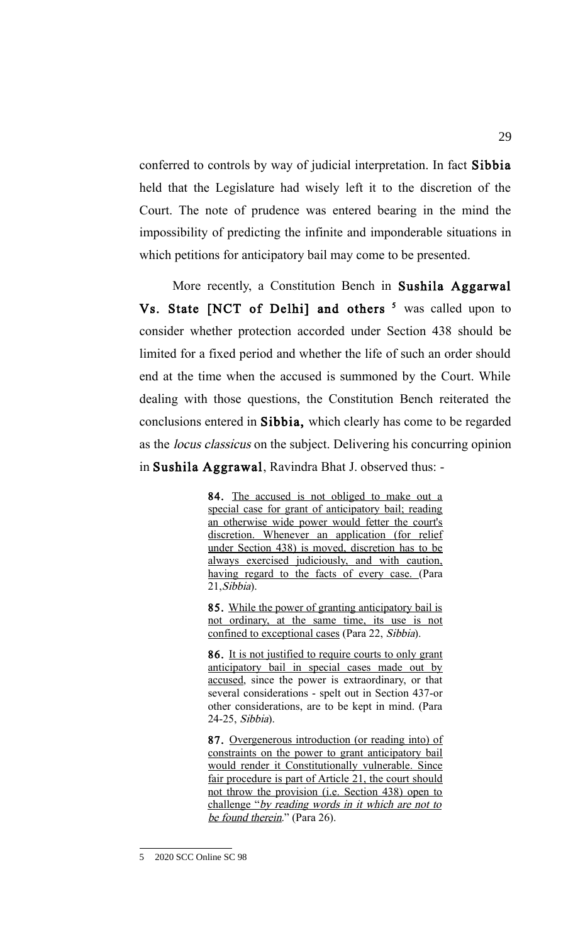conferred to controls by way of judicial interpretation. In fact Sibbia held that the Legislature had wisely left it to the discretion of the Court. The note of prudence was entered bearing in the mind the impossibility of predicting the infinite and imponderable situations in which petitions for anticipatory bail may come to be presented.

More recently, a Constitution Bench in Sushila Aggarwal Vs. State [NCT of Delhi] and others <sup>[5](#page-28-0)</sup> was called upon to consider whether protection accorded under Section 438 should be limited for a fixed period and whether the life of such an order should end at the time when the accused is summoned by the Court. While dealing with those questions, the Constitution Bench reiterated the conclusions entered in Sibbia, which clearly has come to be regarded as the locus classicus on the subject. Delivering his concurring opinion in Sushila Aggrawal, Ravindra Bhat J. observed thus: -

> 84. The accused is not obliged to make out a special case for grant of anticipatory bail; reading an otherwise wide power would fetter the court's discretion. Whenever an application (for relief under Section 438) is moved, discretion has to be always exercised judiciously, and with caution, having regard to the facts of every case. (Para 21,Sibbia).

> 85. While the power of granting anticipatory bail is not ordinary, at the same time, its use is not confined to exceptional cases (Para 22, Sibbia).

> 86. It is not justified to require courts to only grant anticipatory bail in special cases made out by accused, since the power is extraordinary, or that several considerations - spelt out in Section 437-or other considerations, are to be kept in mind. (Para 24-25, Sibbia).

> 87. Overgenerous introduction (or reading into) of constraints on the power to grant anticipatory bail would render it Constitutionally vulnerable. Since fair procedure is part of Article 21, the court should not throw the provision (i.e. Section 438) open to challenge "by reading words in it which are not to be found therein." (Para 26).

<span id="page-28-0"></span><sup>5 2020</sup> SCC Online SC 98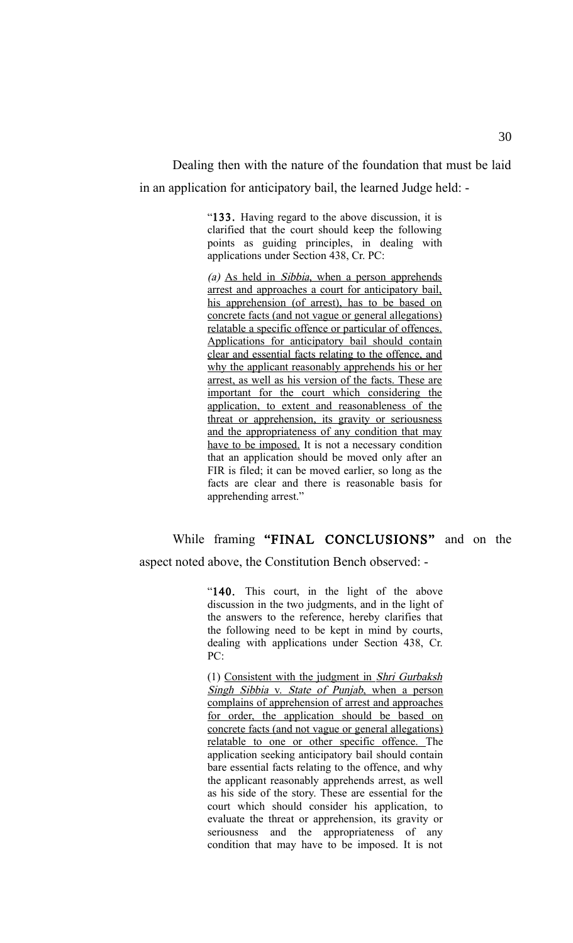Dealing then with the nature of the foundation that must be laid in an application for anticipatory bail, the learned Judge held: -

> "133. Having regard to the above discussion, it is clarified that the court should keep the following points as guiding principles, in dealing with applications under Section 438, Cr. PC:

> (a) As held in Sibbia, when a person apprehends arrest and approaches a court for anticipatory bail, his apprehension (of arrest), has to be based on concrete facts (and not vague or general allegations) relatable a specific offence or particular of offences. Applications for anticipatory bail should contain clear and essential facts relating to the offence, and why the applicant reasonably apprehends his or her arrest, as well as his version of the facts. These are important for the court which considering the application, to extent and reasonableness of the threat or apprehension, its gravity or seriousness and the appropriateness of any condition that may have to be imposed. It is not a necessary condition that an application should be moved only after an FIR is filed; it can be moved earlier, so long as the facts are clear and there is reasonable basis for apprehending arrest."

# While framing "FINAL CONCLUSIONS" and on the

aspect noted above, the Constitution Bench observed: -

"140. This court, in the light of the above discussion in the two judgments, and in the light of the answers to the reference, hereby clarifies that the following need to be kept in mind by courts, dealing with applications under Section 438, Cr. PC:

(1) Consistent with the judgment in Shri Gurbaksh Singh Sibbia v. State of Punjab, when a person complains of apprehension of arrest and approaches for order, the application should be based on concrete facts (and not vague or general allegations) relatable to one or other specific offence. The application seeking anticipatory bail should contain bare essential facts relating to the offence, and why the applicant reasonably apprehends arrest, as well as his side of the story. These are essential for the court which should consider his application, to evaluate the threat or apprehension, its gravity or seriousness and the appropriateness of any condition that may have to be imposed. It is not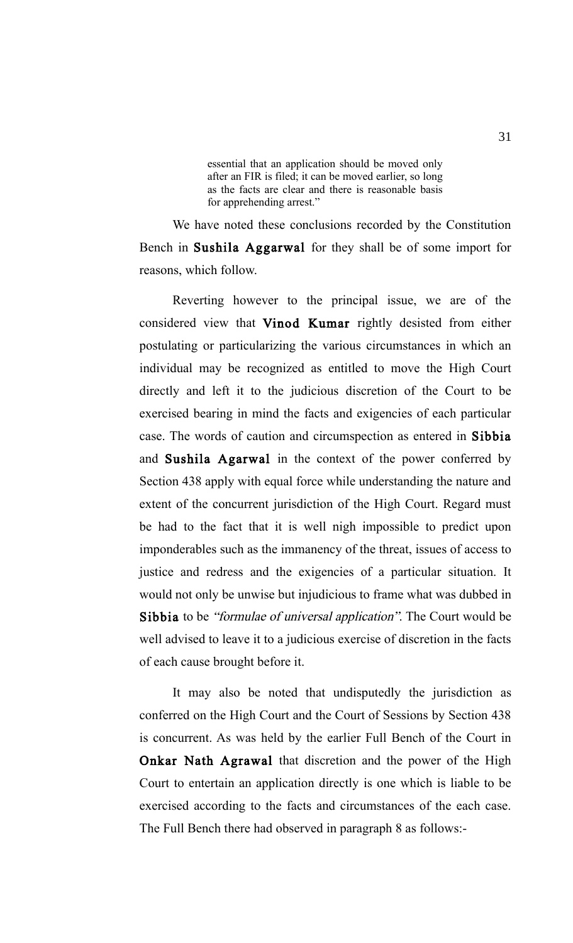essential that an application should be moved only after an FIR is filed; it can be moved earlier, so long as the facts are clear and there is reasonable basis for apprehending arrest."

We have noted these conclusions recorded by the Constitution Bench in Sushila Aggarwal for they shall be of some import for reasons, which follow.

Reverting however to the principal issue, we are of the considered view that Vinod Kumar rightly desisted from either postulating or particularizing the various circumstances in which an individual may be recognized as entitled to move the High Court directly and left it to the judicious discretion of the Court to be exercised bearing in mind the facts and exigencies of each particular case. The words of caution and circumspection as entered in Sibbia and Sushila Agarwal in the context of the power conferred by Section 438 apply with equal force while understanding the nature and extent of the concurrent jurisdiction of the High Court. Regard must be had to the fact that it is well nigh impossible to predict upon imponderables such as the immanency of the threat, issues of access to justice and redress and the exigencies of a particular situation. It would not only be unwise but injudicious to frame what was dubbed in Sibbia to be "formulae of universal application". The Court would be well advised to leave it to a judicious exercise of discretion in the facts of each cause brought before it.

It may also be noted that undisputedly the jurisdiction as conferred on the High Court and the Court of Sessions by Section 438 is concurrent. As was held by the earlier Full Bench of the Court in Onkar Nath Agrawal that discretion and the power of the High Court to entertain an application directly is one which is liable to be exercised according to the facts and circumstances of the each case. The Full Bench there had observed in paragraph 8 as follows:-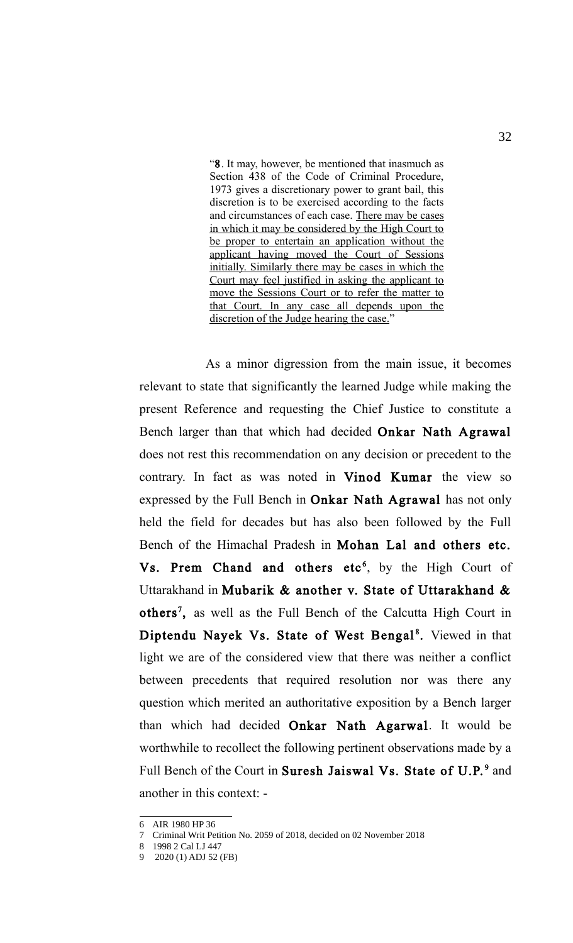"8. It may, however, be mentioned that inasmuch as Section 438 of the Code of Criminal Procedure, 1973 gives a discretionary power to grant bail, this discretion is to be exercised according to the facts and circumstances of each case. There may be cases in which it may be considered by the High Court to be proper to entertain an application without the applicant having moved the Court of Sessions initially. Similarly there may be cases in which the Court may feel justified in asking the applicant to move the Sessions Court or to refer the matter to that Court. In any case all depends upon the discretion of the Judge hearing the case."

As a minor digression from the main issue, it becomes relevant to state that significantly the learned Judge while making the present Reference and requesting the Chief Justice to constitute a Bench larger than that which had decided Onkar Nath Agrawal does not rest this recommendation on any decision or precedent to the contrary. In fact as was noted in Vinod Kumar the view so expressed by the Full Bench in Onkar Nath Agrawal has not only held the field for decades but has also been followed by the Full Bench of the Himachal Pradesh in Mohan Lal and others etc. Vs. Prem Chand and others etc<sup>[6](#page-31-0)</sup>, by the High Court of Uttarakhand in Mubarik & another v. State of Uttarakhand & others<sup>[7](#page-31-1)</sup>, as well as the Full Bench of the Calcutta High Court in Diptendu Nayek Vs. State of West Bengal<sup>[8](#page-31-2)</sup>. Viewed in that light we are of the considered view that there was neither a conflict between precedents that required resolution nor was there any question which merited an authoritative exposition by a Bench larger than which had decided Onkar Nath Agarwal. It would be worthwhile to recollect the following pertinent observations made by a Full Bench of the Court in Suresh Jaiswal Vs. State of U.P.<sup>[9](#page-31-3)</sup> and another in this context: -

<span id="page-31-0"></span><sup>6</sup> AIR 1980 HP 36

<span id="page-31-1"></span><sup>7</sup> Criminal Writ Petition No. 2059 of 2018, decided on 02 November 2018

<span id="page-31-2"></span><sup>8</sup> 1998 2 Cal LJ 447

<span id="page-31-3"></span><sup>9 2020 (1)</sup> ADJ 52 (FB)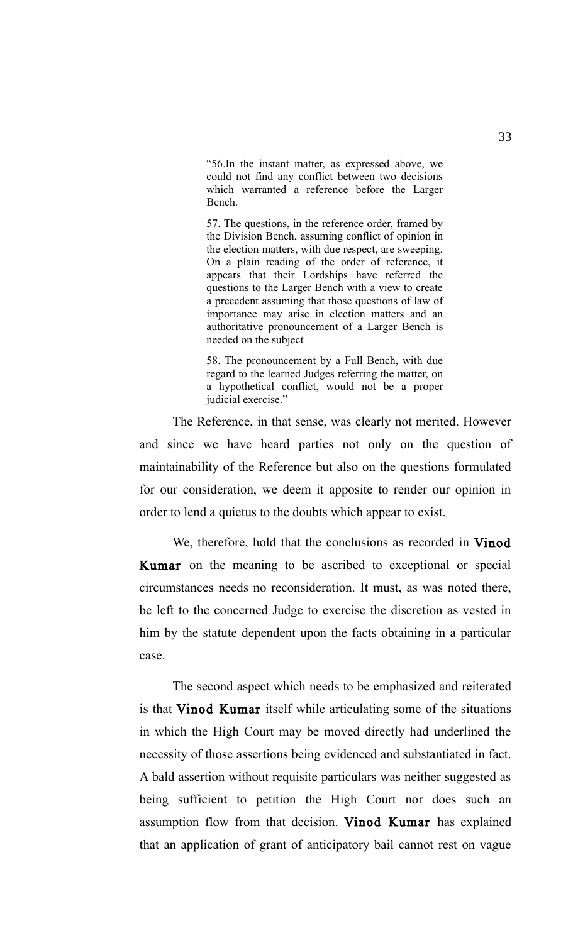"56.In the instant matter, as expressed above, we could not find any conflict between two decisions which warranted a reference before the Larger Bench.

57. The questions, in the reference order, framed by the Division Bench, assuming conflict of opinion in the election matters, with due respect, are sweeping. On a plain reading of the order of reference, it appears that their Lordships have referred the questions to the Larger Bench with a view to create a precedent assuming that those questions of law of importance may arise in election matters and an authoritative pronouncement of a Larger Bench is needed on the subject

58. The pronouncement by a Full Bench, with due regard to the learned Judges referring the matter, on a hypothetical conflict, would not be a proper judicial exercise."

The Reference, in that sense, was clearly not merited. However and since we have heard parties not only on the question of maintainability of the Reference but also on the questions formulated for our consideration, we deem it apposite to render our opinion in order to lend a quietus to the doubts which appear to exist.

We, therefore, hold that the conclusions as recorded in Vinod Kumar on the meaning to be ascribed to exceptional or special circumstances needs no reconsideration. It must, as was noted there, be left to the concerned Judge to exercise the discretion as vested in him by the statute dependent upon the facts obtaining in a particular case.

The second aspect which needs to be emphasized and reiterated is that Vinod Kumar itself while articulating some of the situations in which the High Court may be moved directly had underlined the necessity of those assertions being evidenced and substantiated in fact. A bald assertion without requisite particulars was neither suggested as being sufficient to petition the High Court nor does such an assumption flow from that decision. Vinod Kumar has explained that an application of grant of anticipatory bail cannot rest on vague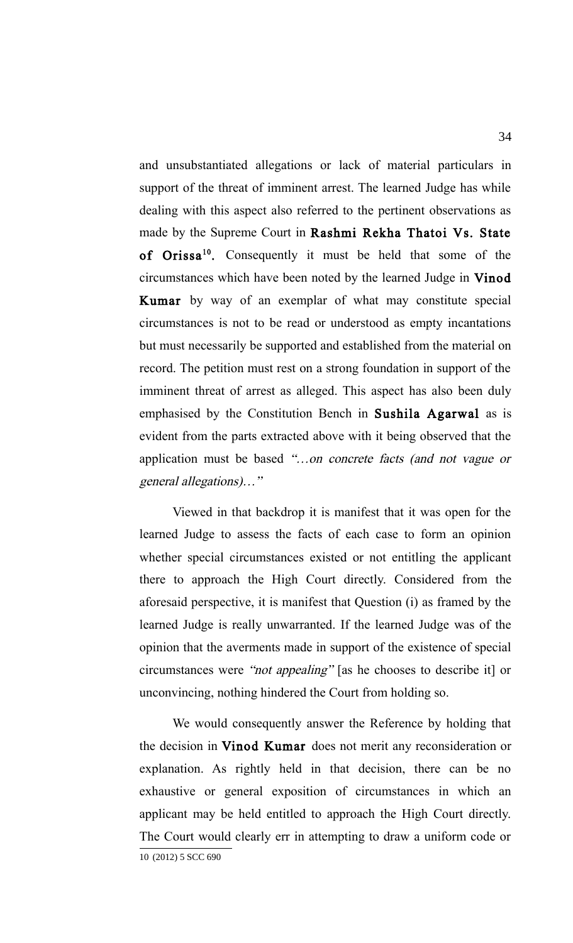and unsubstantiated allegations or lack of material particulars in support of the threat of imminent arrest. The learned Judge has while dealing with this aspect also referred to the pertinent observations as made by the Supreme Court in Rashmi Rekha Thatoi Vs. State of Orissa<sup>[10](#page-33-0)</sup>. Consequently it must be held that some of the circumstances which have been noted by the learned Judge in Vinod Kumar by way of an exemplar of what may constitute special circumstances is not to be read or understood as empty incantations but must necessarily be supported and established from the material on record. The petition must rest on a strong foundation in support of the imminent threat of arrest as alleged. This aspect has also been duly emphasised by the Constitution Bench in Sushila Agarwal as is evident from the parts extracted above with it being observed that the application must be based "…on concrete facts (and not vague or general allegations)…"

Viewed in that backdrop it is manifest that it was open for the learned Judge to assess the facts of each case to form an opinion whether special circumstances existed or not entitling the applicant there to approach the High Court directly. Considered from the aforesaid perspective, it is manifest that Question (i) as framed by the learned Judge is really unwarranted. If the learned Judge was of the opinion that the averments made in support of the existence of special circumstances were "not appealing" [as he chooses to describe it] or unconvincing, nothing hindered the Court from holding so.

<span id="page-33-0"></span>We would consequently answer the Reference by holding that the decision in Vinod Kumar does not merit any reconsideration or explanation. As rightly held in that decision, there can be no exhaustive or general exposition of circumstances in which an applicant may be held entitled to approach the High Court directly. The Court would clearly err in attempting to draw a uniform code or 10 (2012) 5 SCC 690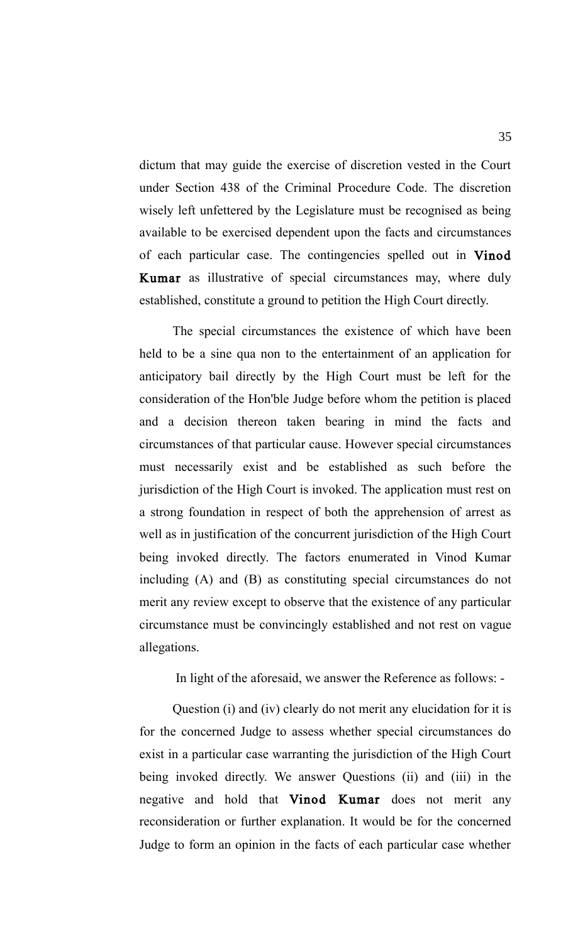dictum that may guide the exercise of discretion vested in the Court under Section 438 of the Criminal Procedure Code. The discretion wisely left unfettered by the Legislature must be recognised as being available to be exercised dependent upon the facts and circumstances of each particular case. The contingencies spelled out in Vinod Kumar as illustrative of special circumstances may, where duly established, constitute a ground to petition the High Court directly.

The special circumstances the existence of which have been held to be a sine qua non to the entertainment of an application for anticipatory bail directly by the High Court must be left for the consideration of the Hon'ble Judge before whom the petition is placed and a decision thereon taken bearing in mind the facts and circumstances of that particular cause. However special circumstances must necessarily exist and be established as such before the jurisdiction of the High Court is invoked. The application must rest on a strong foundation in respect of both the apprehension of arrest as well as in justification of the concurrent jurisdiction of the High Court being invoked directly. The factors enumerated in Vinod Kumar including (A) and (B) as constituting special circumstances do not merit any review except to observe that the existence of any particular circumstance must be convincingly established and not rest on vague allegations.

In light of the aforesaid, we answer the Reference as follows: -

Question (i) and (iv) clearly do not merit any elucidation for it is for the concerned Judge to assess whether special circumstances do exist in a particular case warranting the jurisdiction of the High Court being invoked directly. We answer Questions (ii) and (iii) in the negative and hold that Vinod Kumar does not merit any reconsideration or further explanation. It would be for the concerned Judge to form an opinion in the facts of each particular case whether